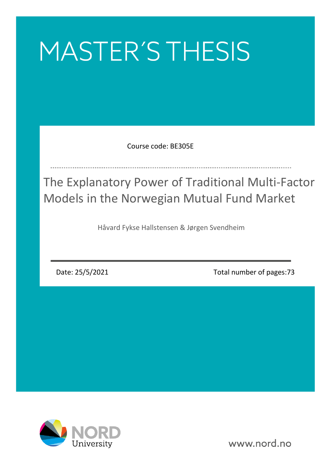# MASTER'S THESIS

Course code: BE305E

The Explanatory Power of Traditional Multi-Factor Models in the Norwegian Mutual Fund Market

Håvard Fykse Hallstensen & Jørgen Svendheim

Date: 25/5/2021

Total number of pages:73



www.nord.no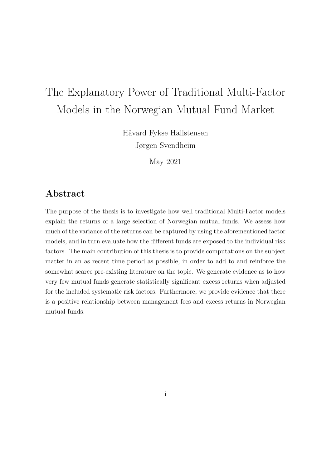# The Explanatory Power of Traditional Multi-Factor Models in the Norwegian Mutual Fund Market

Håvard Fykse Hallstensen Jørgen Svendheim

May 2021

## Abstract

The purpose of the thesis is to investigate how well traditional Multi-Factor models explain the returns of a large selection of Norwegian mutual funds. We assess how much of the variance of the returns can be captured by using the aforementioned factor models, and in turn evaluate how the different funds are exposed to the individual risk factors. The main contribution of this thesis is to provide computations on the subject matter in an as recent time period as possible, in order to add to and reinforce the somewhat scarce pre-existing literature on the topic. We generate evidence as to how very few mutual funds generate statistically significant excess returns when adjusted for the included systematic risk factors. Furthermore, we provide evidence that there is a positive relationship between management fees and excess returns in Norwegian mutual funds.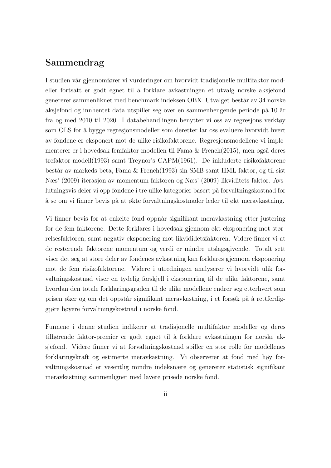### Sammendrag

I studien vår gjennomfører vi vurderinger om hvorvidt tradisjonelle multifaktor modeller fortsatt er godt egnet til å forklare avkastningen et utvalg norske aksjefond genererer sammenliknet med benchmark indeksen OBX. Utvalget består av 34 norske aksjefond og innhentet data utspiller seg over en sammenhengende periode på 10 år fra og med 2010 til 2020. I databehandlingen benytter vi oss av regresjons verktøy som OLS for å bygge regresjonsmodeller som deretter lar oss evaluere hvorvidt hvert av fondene er eksponert mot de ulike risikofaktorene. Regresjonsmodellene vi implementerer er i hovedsak femfaktor-modellen til Fama & French(2015), men også deres trefaktor-modell(1993) samt Treynor's CAPM(1961). De inkluderte risikofaktorene består av markeds beta, Fama & French(1993) sin SMB samt HML faktor, og til sist Næs' (2009) iterasjon av momentum-faktoren og Næs' (2009) likviditets-faktor. Avslutningsvis deler vi opp fondene i tre ulike kategorier basert på forvaltningskostnad for å se om vi finner bevis på at økte forvaltningskostnader leder til økt meravkastning.

Vi finner bevis for at enkelte fond oppnår signifikant meravkastning etter justering for de fem faktorene. Dette forklares i hovedsak gjennom økt eksponering mot størrelsesfaktoren, samt negativ eksponering mot likvididetsfaktoren. Videre finner vi at de resterende faktorene momentum og verdi er mindre utslagsgivende. Totalt sett viser det seg at store deler av fondenes avkastning kan forklares gjennom eksponering mot de fem risikofaktorene. Videre i utredningen analyserer vi hvorvidt ulik forvaltningskostnad viser en tydelig forskjell i eksponering til de ulike faktorene, samt hvordan den totale forklaringsgraden til de ulike modellene endrer seg etterhvert som prisen øker og om det oppstår signifikant meravkastning, i et forsøk på å rettferdiggjøre høyere forvaltningskostnad i norske fond.

Funnene i denne studien indikerer at tradisjonelle multifaktor modeller og deres tilhørende faktor-premier er godt egnet til å forklare avkastningen for norske aksjefond. Videre finner vi at forvaltningskostnad spiller en stor rolle for modellenes forklaringskraft og estimerte meravkastning. Vi observerer at fond med høy forvaltningskostnad er vesentlig mindre indeksnære og genererer statistisk signifikant meravkastning sammenlignet med lavere prisede norske fond.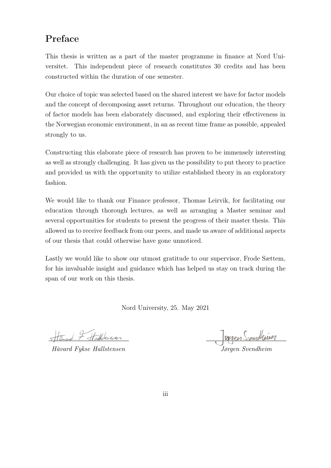# Preface

This thesis is written as a part of the master programme in finance at Nord Universitet. This independent piece of research constitutes 30 credits and has been constructed within the duration of one semester.

Our choice of topic was selected based on the shared interest we have for factor models and the concept of decomposing asset returns. Throughout our education, the theory of factor models has been elaborately discussed, and exploring their effectiveness in the Norwegian economic environment, in an as recent time frame as possible, appealed strongly to us.

Constructing this elaborate piece of research has proven to be immensely interesting as well as strongly challenging. It has given us the possibility to put theory to practice and provided us with the opportunity to utilize established theory in an exploratory fashion.

We would like to thank our Finance professor, Thomas Leirvik, for facilitating our education through thorough lectures, as well as arranging a Master seminar and several opportunities for students to present the progress of their master thesis. This allowed us to receive feedback from our peers, and made us aware of additional aspects of our thesis that could otherwise have gone unnoticed.

Lastly we would like to show our utmost gratitude to our supervisor, Frode Sættem, for his invaluable insight and guidance which has helped us stay on track during the span of our work on this thesis.

Nord University, 25. May 2021

I Hallbersen

Håvard Fykse Hallstensen

.<br>Jørgen Svendheim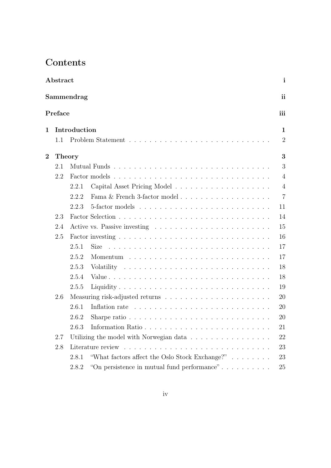# Contents

| ${\rm Abstract}$ |               |              |                                                                                                                                                                                                                                |                |  |  |  |
|------------------|---------------|--------------|--------------------------------------------------------------------------------------------------------------------------------------------------------------------------------------------------------------------------------|----------------|--|--|--|
|                  |               | Sammendrag   |                                                                                                                                                                                                                                | ii             |  |  |  |
|                  | Preface       |              |                                                                                                                                                                                                                                | iii            |  |  |  |
| 1                |               | Introduction |                                                                                                                                                                                                                                | $\mathbf{1}$   |  |  |  |
|                  | 1.1           |              |                                                                                                                                                                                                                                | $\overline{2}$ |  |  |  |
| $\bf{2}$         | <b>Theory</b> |              |                                                                                                                                                                                                                                | 3              |  |  |  |
|                  | 2.1           |              | Mutual Funds                                                                                                                                                                                                                   | 3              |  |  |  |
|                  | 2.2           |              |                                                                                                                                                                                                                                | $\overline{4}$ |  |  |  |
|                  |               | 2.2.1        |                                                                                                                                                                                                                                | $\overline{4}$ |  |  |  |
|                  |               | 2.2.2        |                                                                                                                                                                                                                                | $\overline{7}$ |  |  |  |
|                  |               | 2.2.3        |                                                                                                                                                                                                                                | 11             |  |  |  |
|                  | 2.3           |              |                                                                                                                                                                                                                                | 14             |  |  |  |
|                  | 2.4           |              |                                                                                                                                                                                                                                | 15             |  |  |  |
|                  | 2.5           |              |                                                                                                                                                                                                                                | 16             |  |  |  |
|                  |               | 2.5.1        | <b>Size</b>                                                                                                                                                                                                                    | 17             |  |  |  |
|                  |               | 2.5.2        |                                                                                                                                                                                                                                | 17             |  |  |  |
|                  |               | 2.5.3        |                                                                                                                                                                                                                                | 18             |  |  |  |
|                  |               | 2.5.4        |                                                                                                                                                                                                                                | 18             |  |  |  |
|                  |               | 2.5.5        |                                                                                                                                                                                                                                | 19             |  |  |  |
|                  | 2.6           |              |                                                                                                                                                                                                                                | 20             |  |  |  |
|                  |               | 2.6.1        | Inflation rate response to the contract of the contract of the contract of the contract of the contract of the contract of the contract of the contract of the contract of the contract of the contract of the contract of the | 20             |  |  |  |
|                  |               | 2.6.2        | Sharpe ratio $\ldots \ldots \ldots \ldots \ldots \ldots \ldots \ldots \ldots \ldots$                                                                                                                                           | 20             |  |  |  |
|                  |               | 2.6.3        |                                                                                                                                                                                                                                | 21             |  |  |  |
|                  | $2.7\,$       |              | Utilizing the model with Norwegian data                                                                                                                                                                                        | 22             |  |  |  |
|                  | 2.8           |              |                                                                                                                                                                                                                                | 23             |  |  |  |
|                  |               | 2.8.1        | "What factors affect the Oslo Stock Exchange?"                                                                                                                                                                                 | 23             |  |  |  |
|                  |               | 2.8.2        | "On persistence in mutual fund performance"                                                                                                                                                                                    | 25             |  |  |  |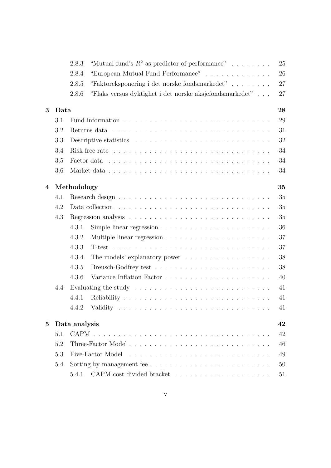|          |      | "Mutual fund's $R^2$ as predictor of performance"<br>2.8.3                                                                                                                                                                                    |  |  |  |  |
|----------|------|-----------------------------------------------------------------------------------------------------------------------------------------------------------------------------------------------------------------------------------------------|--|--|--|--|
|          |      | "European Mutual Fund Performance"<br>2.8.4                                                                                                                                                                                                   |  |  |  |  |
|          |      | "Faktoreksponering i det norske fondsmarkedet"<br>2.8.5                                                                                                                                                                                       |  |  |  |  |
|          |      | "Flaks versus dyktighet i det norske aksjefondsmarkedet"<br>2.8.6                                                                                                                                                                             |  |  |  |  |
| 3        | Data |                                                                                                                                                                                                                                               |  |  |  |  |
|          | 3.1  |                                                                                                                                                                                                                                               |  |  |  |  |
|          | 3.2  | Returns data<br>and a construction of the construction of the construction of the construction of the construction of the construction of the construction of the construction of the construction of the construction of the construction of |  |  |  |  |
|          | 3.3  |                                                                                                                                                                                                                                               |  |  |  |  |
|          | 3.4  |                                                                                                                                                                                                                                               |  |  |  |  |
|          | 3.5  |                                                                                                                                                                                                                                               |  |  |  |  |
|          | 3.6  |                                                                                                                                                                                                                                               |  |  |  |  |
|          |      |                                                                                                                                                                                                                                               |  |  |  |  |
| 4        |      | Methodology                                                                                                                                                                                                                                   |  |  |  |  |
|          | 4.1  |                                                                                                                                                                                                                                               |  |  |  |  |
|          | 4.2  |                                                                                                                                                                                                                                               |  |  |  |  |
|          | 4.3  |                                                                                                                                                                                                                                               |  |  |  |  |
|          |      | 4.3.1<br>Simple linear regression $\ldots \ldots \ldots \ldots \ldots \ldots \ldots$                                                                                                                                                          |  |  |  |  |
|          |      | 4.3.2                                                                                                                                                                                                                                         |  |  |  |  |
|          |      | 4.3.3                                                                                                                                                                                                                                         |  |  |  |  |
|          |      | 4.3.4<br>The models' explanatory power $\dots \dots \dots \dots \dots \dots$                                                                                                                                                                  |  |  |  |  |
|          |      | 4.3.5                                                                                                                                                                                                                                         |  |  |  |  |
|          |      | 4.3.6                                                                                                                                                                                                                                         |  |  |  |  |
|          | 4.4  | Evaluating the study $\ldots \ldots \ldots \ldots \ldots \ldots \ldots \ldots \ldots$                                                                                                                                                         |  |  |  |  |
|          |      | 4.4.1                                                                                                                                                                                                                                         |  |  |  |  |
|          |      | 4.4.2                                                                                                                                                                                                                                         |  |  |  |  |
| $\bf{5}$ |      | Data analysis                                                                                                                                                                                                                                 |  |  |  |  |
|          | 5.1  |                                                                                                                                                                                                                                               |  |  |  |  |
|          | 5.2  |                                                                                                                                                                                                                                               |  |  |  |  |
|          | 5.3  | Five-Factor Model                                                                                                                                                                                                                             |  |  |  |  |
|          | 5.4  |                                                                                                                                                                                                                                               |  |  |  |  |
|          |      | 5.4.1                                                                                                                                                                                                                                         |  |  |  |  |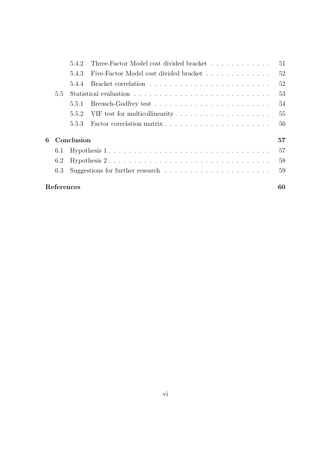|               |            | 542   | Three-Factor Model cost divided bracket                                             | 51 |  |  |  |
|---------------|------------|-------|-------------------------------------------------------------------------------------|----|--|--|--|
|               |            | 5.4.3 | Five-Factor Model cost divided bracket                                              | 52 |  |  |  |
|               |            | 5.4.4 |                                                                                     | 52 |  |  |  |
| $5.5^{\circ}$ |            |       |                                                                                     |    |  |  |  |
|               |            | 5.5.1 |                                                                                     | 54 |  |  |  |
|               |            | 5.5.2 | VIF test for multicollinearity $\dots \dots \dots \dots \dots \dots \dots$          | 55 |  |  |  |
|               |            | 5.5.3 |                                                                                     | 56 |  |  |  |
| 6             | Conclusion |       |                                                                                     |    |  |  |  |
|               | 6.1        |       |                                                                                     | 57 |  |  |  |
|               | 6.2        |       |                                                                                     | 58 |  |  |  |
|               | 6.3        |       | Suggestions for further research $\ldots \ldots \ldots \ldots \ldots \ldots \ldots$ | 59 |  |  |  |
|               | References |       |                                                                                     |    |  |  |  |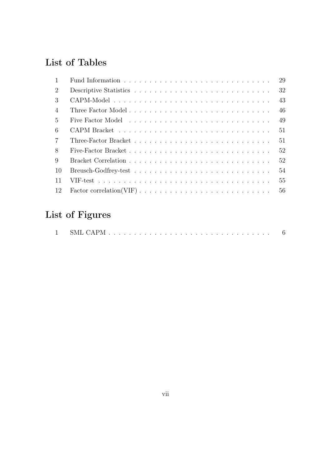# List of Tables

|                | 29 |
|----------------|----|
| $\overline{2}$ | 32 |
| 3              | 43 |
| $\overline{4}$ | 46 |
| $\frac{5}{2}$  | 49 |
| 6              | 51 |
| $\overline{7}$ | 51 |
| 8              | 52 |
| 9              | 52 |
| 10             | 54 |
| 11             | 55 |
| 12             | 56 |

# List of Figures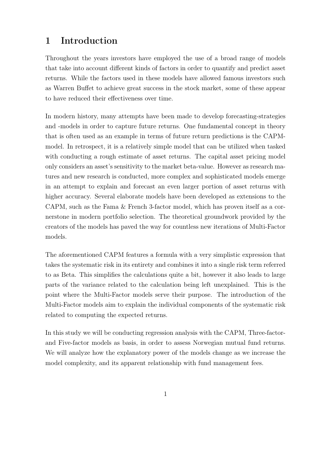#### Introduction  $\mathbf{1}$

Throughout the years investors have employed the use of a broad range of models that take into account different kinds of factors in order to quantify and predict asset returns. While the factors used in these models have allowed famous investors such as Warren Buffet to achieve great success in the stock market, some of these appear to have reduced their effectiveness over time.

In modern history, many attempts have been made to develop forecasting-strategies and -models in order to capture future returns. One fundamental concept in theory that is often used as an example in terms of future return predictions is the CAPMmodel. In retrospect, it is a relatively simple model that can be utilized when tasked with conducting a rough estimate of asset returns. The capital asset pricing model only considers an asset's sensitivity to the market beta-value. However as research matures and new research is conducted, more complex and sophisticated models emerge in an attempt to explain and forecast an even larger portion of asset returns with higher accuracy. Several elaborate models have been developed as extensions to the CAPM, such as the Fama & French 3-factor model, which has proven itself as a cornerstone in modern portfolio selection. The theoretical groundwork provided by the creators of the models has paved the way for countless new iterations of Multi-Factor models.

The aforementioned CAPM features a formula with a very simplistic expression that takes the systematic risk in its entirety and combines it into a single risk term referred to as Beta. This simplifies the calculations quite a bit, however it also leads to large parts of the variance related to the calculation being left unexplained. This is the point where the Multi-Factor models serve their purpose. The introduction of the Multi-Factor models aim to explain the individual components of the systematic risk related to computing the expected returns.

In this study we will be conducting regression analysis with the CAPM, Three-factorand Five-factor models as basis, in order to assess Norwegian mutual fund returns. We will analyze how the explanatory power of the models change as we increase the model complexity, and its apparent relationship with fund management fees.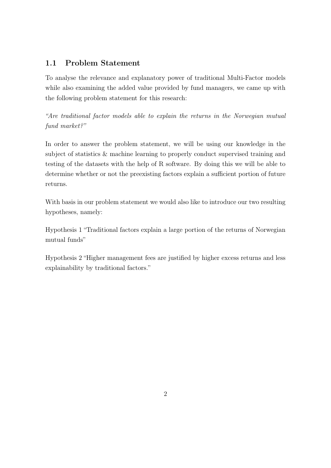#### **Problem Statement**  $1.1$

To analyse the relevance and explanatory power of traditional Multi-Factor models while also examining the added value provided by fund managers, we came up with the following problem statement for this research:

"Are traditional factor models able to explain the returns in the Norwegian mutual fund market?"

In order to answer the problem statement, we will be using our knowledge in the subject of statistics & machine learning to properly conduct supervised training and testing of the datasets with the help of R software. By doing this we will be able to determine whether or not the preexisting factors explain a sufficient portion of future returns.

With basis in our problem statement we would also like to introduce our two resulting hypotheses, namely:

Hypothesis 1 "Traditional factors explain a large portion of the returns of Norwegian mutual funds"

Hypothesis 2 "Higher management fees are justified by higher excess returns and less explainability by traditional factors."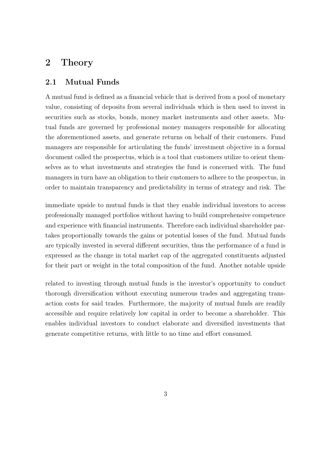#### $\overline{2}$ Theory

#### **Mutual Funds**  $2.1$

A mutual fund is defined as a financial vehicle that is derived from a pool of monetary value, consisting of deposits from several individuals which is then used to invest in securities such as stocks, bonds, money market instruments and other assets. Mutual funds are governed by professional money managers responsible for allocating the aforementioned assets, and generate returns on behalf of their customers. Fund managers are responsible for articulating the funds' investment objective in a formal document called the prospectus, which is a tool that customers utilize to orient themselves as to what investments and strategies the fund is concerned with. The fund managers in turn have an obligation to their customers to adhere to the prospectus, in order to maintain transparency and predictability in terms of strategy and risk. The

immediate upside to mutual funds is that they enable individual investors to access professionally managed portfolios without having to build comprehensive competence and experience with financial instruments. Therefore each individual shareholder partakes proportionally towards the gains or potential losses of the fund. Mutual funds are typically invested in several different securities, thus the performance of a fund is expressed as the change in total market cap of the aggregated constituents adjusted for their part or weight in the total composition of the fund. Another notable upside

related to investing through mutual funds is the investor's opportunity to conduct thorough diversification without executing numerous trades and aggregating transaction costs for said trades. Furthermore, the majority of mutual funds are readily accessible and require relatively low capital in order to become a shareholder. This enables individual investors to conduct elaborate and diversified investments that generate competitive returns, with little to no time and effort consumed.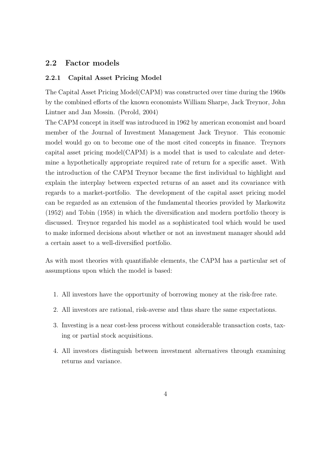#### 2.2 **Factor models**

#### $2.2.1$ **Capital Asset Pricing Model**

The Capital Asset Pricing Model (CAPM) was constructed over time during the 1960s by the combined efforts of the known economists William Sharpe, Jack Treynor, John Lintner and Jan Mossin. (Perold, 2004)

The CAPM concept in itself was introduced in 1962 by american economist and board member of the Journal of Investment Management Jack Treynor. This economic model would go on to become one of the most cited concepts in finance. Treynors capital asset pricing model (CAPM) is a model that is used to calculate and determine a hypothetically appropriate required rate of return for a specific asset. With the introduction of the CAPM Treynor became the first individual to highlight and explain the interplay between expected returns of an asset and its covariance with regards to a market-portfolio. The development of the capital asset pricing model can be regarded as an extension of the fundamental theories provided by Markowitz  $(1952)$  and Tobin  $(1958)$  in which the diversification and modern portfolio theory is discussed. Trey or regarded his model as a sophisticated tool which would be used to make informed decisions about whether or not an investment manager should add a certain asset to a well-diversified portfolio.

As with most theories with quantifiable elements, the CAPM has a particular set of assumptions upon which the model is based:

- 1. All investors have the opportunity of borrowing money at the risk-free rate.
- 2. All investors are rational, risk-averse and thus share the same expectations.
- 3. Investing is a near cost-less process without considerable transaction costs, taxing or partial stock acquisitions.
- 4. All investors distinguish between investment alternatives through examining returns and variance.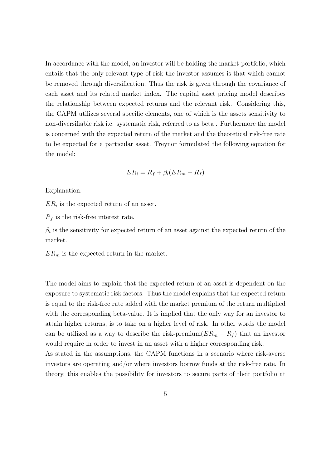In accordance with the model, an investor will be holding the market-portfolio, which entails that the only relevant type of risk the investor assumes is that which cannot be removed through diversification. Thus the risk is given through the covariance of each asset and its related market index. The capital asset pricing model describes the relationship between expected returns and the relevant risk. Considering this, the CAPM utilizes several specific elements, one of which is the assets sensitivity to non-diversifiable risk i.e. systematic risk, referred to as beta. Furthermore the model is concerned with the expected return of the market and the theoretical risk-free rate to be expected for a particular asset. Treynor formulated the following equation for the model:

$$
ER_i = R_f + \beta_i (ER_m - R_f)
$$

Explanation:

 $ER_i$  is the expected return of an asset.

 $R_f$  is the risk-free interest rate.

 $\beta_i$  is the sensitivity for expected return of an asset against the expected return of the market.

 $ER_m$  is the expected return in the market.

The model aims to explain that the expected return of an asset is dependent on the exposure to systematic risk factors. Thus the model explains that the expected return is equal to the risk-free rate added with the market premium of the return multiplied with the corresponding beta-value. It is implied that the only way for an investor to attain higher returns, is to take on a higher level of risk. In other words the model can be utilized as a way to describe the risk-premium $(ER_m - R_f)$  that an investor would require in order to invest in an asset with a higher corresponding risk.

As stated in the assumptions, the CAPM functions in a scenario where risk-averse investors are operating and/or where investors borrow funds at the risk-free rate. In theory, this enables the possibility for investors to secure parts of their portfolio at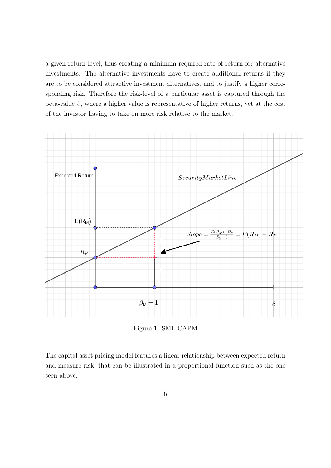a given return level, thus creating a minimum required rate of return for alternative investments. The alternative investments have to create additional returns if they are to be considered attractive investment alternatives, and to justify a higher corresponding risk. Therefore the risk-level of a particular asset is captured through the beta-value  $\beta$ , where a higher value is representative of higher returns, yet at the cost of the investor having to take on more risk relative to the market.



Figure 1: SML CAPM

The capital asset pricing model features a linear relationship between expected return and measure risk, that can be illustrated in a proportional function such as the one seen above.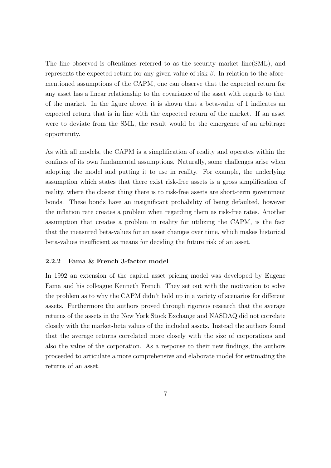The line observed is oftentimes referred to as the security market line(SML), and represents the expected return for any given value of risk  $\beta$ . In relation to the aforementioned assumptions of the CAPM, one can observe that the expected return for any asset has a linear relationship to the covariance of the asset with regards to that of the market. In the figure above, it is shown that a beta-value of 1 indicates an expected return that is in line with the expected return of the market. If an asset were to deviate from the SML, the result would be the emergence of an arbitrage opportunity.

As with all models, the CAPM is a simplification of reality and operates within the confines of its own fundamental assumptions. Naturally, some challenges arise when adopting the model and putting it to use in reality. For example, the underlying assumption which states that there exist risk-free assets is a gross simplification of reality, where the closest thing there is to risk-free assets are short-term government bonds. These bonds have an insignificant probability of being defaulted, however the inflation rate creates a problem when regarding them as risk-free rates. Another assumption that creates a problem in reality for utilizing the CAPM, is the fact that the measured beta-values for an asset changes over time, which makes historical beta-values insufficient as means for deciding the future risk of an asset.

#### 2.2.2 Fama & French 3-factor model

In 1992 an extension of the capital asset pricing model was developed by Eugene Fama and his colleague Kenneth French. They set out with the motivation to solve the problem as to why the CAPM didn't hold up in a variety of scenarios for different assets. Furthermore the authors proved through rigorous research that the average returns of the assets in the New York Stock Exchange and NASDAQ did not correlate closely with the market-beta values of the included assets. Instead the authors found that the average returns correlated more closely with the size of corporations and also the value of the corporation. As a response to their new findings, the authors proceeded to articulate a more comprehensive and elaborate model for estimating the returns of an asset.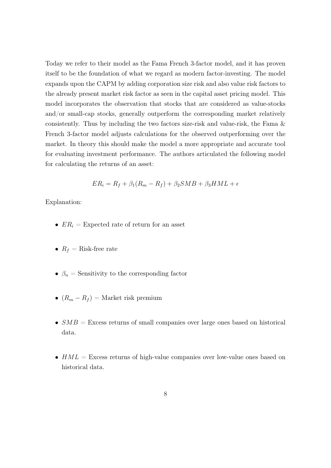Today we refer to their model as the Fama French 3-factor model, and it has proven itself to be the foundation of what we regard as modern factor-investing. The model expands upon the CAPM by adding corporation size risk and also value risk factors to the already present market risk factor as seen in the capital asset pricing model. This model incorporates the observation that stocks that are considered as value-stocks and/or small-cap stocks, generally outperform the corresponding market relatively consistently. Thus by including the two factors size-risk and value-risk, the Fama & French 3-factor model adjusts calculations for the observed outperforming over the market. In theory this should make the model a more appropriate and accurate tool for evaluating investment performance. The authors articulated the following model for calculating the returns of an asset:

$$
ER_i = R_f + \beta_1(R_m - R_f) + \beta_2 SMB + \beta_3 HML + \epsilon
$$

Explanation:

- $ER_i =$  Expected rate of return for an asset
- $R_f$  = Risk-free rate
- $\beta_n$  = Sensitivity to the corresponding factor
- $(R_m R_f) =$  Market risk premium
- $SMB =$  Excess returns of small companies over large ones based on historical data.
- $HML =$  Excess returns of high-value companies over low-value ones based on historical data.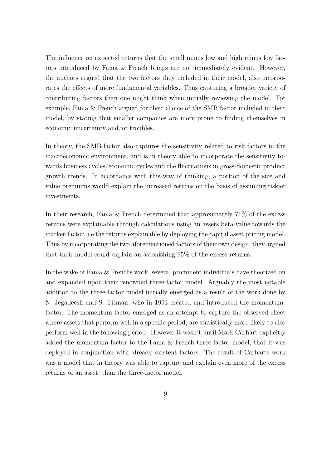The influence on expected returns that the small minus low and high minus low factors introduced by Fama & French brings are not immediately evident. However, the authors argued that the two factors they included in their model, also incorporates the effects of more fundamental variables. Thus capturing a broader variety of contributing factors than one might think when initially reviewing the model. For example, Fama & French argued for their choice of the SMB factor included in their model, by stating that smaller companies are more prone to finding themselves in economic uncertainty and/or troubles.

In theory, the SMB-factor also captures the sensitivity related to risk factors in the macroeconomic environment, and is in theory able to incorporate the sensitivity towards business cycles/economic cycles and the fluctuations in gross-domestic product growth trends. In accordance with this way of thinking, a portion of the size and value premiums would explain the increased returns on the basis of assuming riskier investments.

In their research, Fama & French determined that approximately  $71\%$  of the excess returns were explainable through calculations using an assets beta-value towards the market-factor, i.e the returns explainable by deploying the capital asset pricing model. Thus by incorporating the two aforementioned factors of their own design, they argued that their model could explain an astonishing 95% of the excess returns.

In the wake of Fama & Frenchs work, several prominent individuals have theorized on and expanded upon their renowned three-factor model. Arguably the most notable addition to the three-factor model initially emerged as a result of the work done by N. Jegadeesh and S. Titman, who in 1993 created and introduced the momentumfactor. The momentum-factor emerged as an attempt to capture the observed effect where assets that perform well in a specific period, are statistically more likely to also perform well in the following period. However it wasn't until Mark Carhart explicitly added the momentum-factor to the Fama & French three-factor model, that it was deployed in conjunction with already existent factors. The result of Carharts work was a model that in theory was able to capture and explain even more of the excess returns of an asset, than the three-factor model.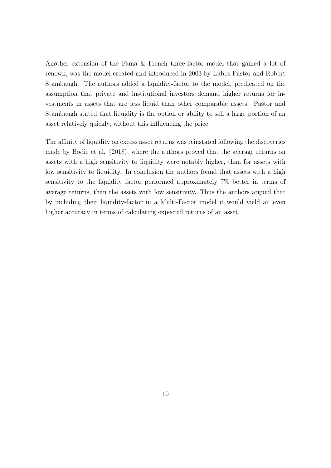Another extension of the Fama & French three-factor model that gained a lot of renown, was the model created and introduced in 2003 by Lubos Pastor and Robert Stambaugh. The authors added a liquidity-factor to the model, predicated on the assumption that private and institutional investors demand higher returns for investments in assets that are less liquid than other comparable assets. Pastor and Stambaugh stated that liquidity is the option or ability to sell a large portion of an asset relatively quickly, without this influencing the price.

The affinity of liquidity on excess asset returns was reinstated following the discoveries made by Bodie et al. (2018), where the authors proved that the average returns on assets with a high sensitivity to liquidity were notably higher, than for assets with low sensitivity to liquidity. In conclusion the authors found that assets with a high sensitivity to the liquidity factor performed approximately 7% better in terms of average returns, than the assets with low sensitivity. Thus the authors argued that by including their liquidity-factor in a Multi-Factor model it would yield an even higher accuracy in terms of calculating expected returns of an asset.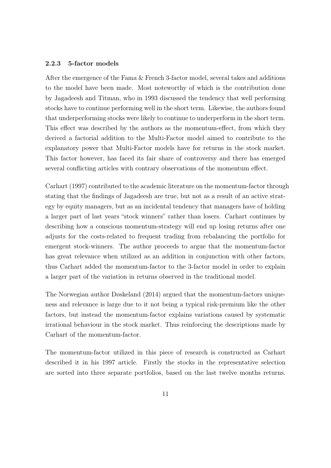#### $2.2.3$ 5-factor models

After the emergence of the Fama & French 3-factor model, several takes and additions to the model have been made. Most noteworthy of which is the contribution done by Jagadeesh and Titman, who in 1993 discussed the tendency that well performing stocks have to continue performing well in the short term. Likewise, the authors found that underperforming stocks were likely to continue to underperform in the short term. This effect was described by the authors as the momentum-effect, from which they derived a factorial addition to the Multi-Factor model aimed to contribute to the explanatory power that Multi-Factor models have for returns in the stock market. This factor however, has faced its fair share of controversy and there has emerged several conflicting articles with contrary observations of the momentum effect.

Carhart (1997) contributed to the academic literature on the momentum-factor through stating that the findings of Jagadeesh are true, but not as a result of an active strategy by equity managers, but as an incidental tendency that managers have of holding a larger part of last years "stock winners" rather than losers. Carhart continues by describing how a conscious momentum-strategy will end up losing returns after one adjusts for the costs-related to frequent trading from rebalancing the portfolio for emergent stock-winners. The author proceeds to argue that the momentum-factor has great relevance when utilized as an addition in conjunction with other factors, thus Carhart added the momentum-factor to the 3-factor model in order to explain a larger part of the variation in returns observed in the traditional model.

The Norwegian author Døskeland (2014) argued that the momentum-factors uniqueness and relevance is large due to it not being a typical risk-premium like the other factors, but instead the momentum-factor explains variations caused by systematic irrational behaviour in the stock market. Thus reinforcing the descriptions made by Carhart of the momentum-factor.

The momentum-factor utilized in this piece of research is constructed as Carhart described it in his 1997 article. Firstly the stocks in the representative selection are sorted into three separate portfolios, based on the last twelve months returns.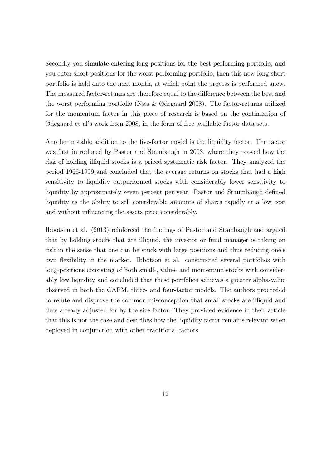Secondly you simulate entering long-positions for the best performing portfolio, and you enter short-positions for the worst performing portfolio, then this new long-short portfolio is held onto the next month, at which point the process is performed anew. The measured factor-returns are therefore equal to the difference between the best and the worst performing portfolio (Næs & Ødegaard 2008). The factor-returns utilized for the momentum factor in this piece of research is based on the continuation of Ødegaard et al's work from 2008, in the form of free available factor data-sets.

Another notable addition to the five-factor model is the liquidity factor. The factor was first introduced by Pastor and Stambaugh in 2003, where they proved how the risk of holding illiquid stocks is a priced systematic risk factor. They analyzed the period 1966-1999 and concluded that the average returns on stocks that had a high sensitivity to liquidity outperformed stocks with considerably lower sensitivity to liquidity by approximately seven percent per year. Pastor and Staumbaugh defined liquidity as the ability to sell considerable amounts of shares rapidly at a low cost and without influencing the assets price considerably.

Ibbotson et al. (2013) reinforced the findings of Pastor and Stambaugh and argued that by holding stocks that are illiquid, the investor or fund manager is taking on risk in the sense that one can be stuck with large positions and thus reducing one's own flexibility in the market. Ibbotson et al. constructed several portfolios with long-positions consisting of both small-, value- and momentum-stocks with considerably low liquidity and concluded that these portfolios achieves a greater alpha-value observed in both the CAPM, three- and four-factor models. The authors proceeded to refute and disprove the common misconception that small stocks are illiquid and thus already adjusted for by the size factor. They provided evidence in their article that this is not the case and describes how the liquidity factor remains relevant when deployed in conjunction with other traditional factors.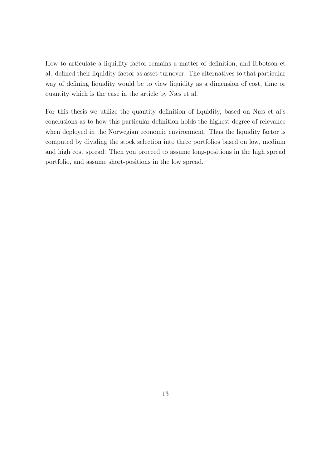How to articulate a liquidity factor remains a matter of definition, and Ibbotson et al. defined their liquidity-factor as asset-turnover. The alternatives to that particular way of defining liquidity would be to view liquidity as a dimension of cost, time or quantity which is the case in the article by Næs et al.

For this thesis we utilize the quantity definition of liquidity, based on Næs et al's conclusions as to how this particular definition holds the highest degree of relevance when deployed in the Norwegian economic environment. Thus the liquidity factor is computed by dividing the stock selection into three portfolios based on low, medium and high cost spread. Then you proceed to assume long-positions in the high spread portfolio, and assume short-positions in the low spread.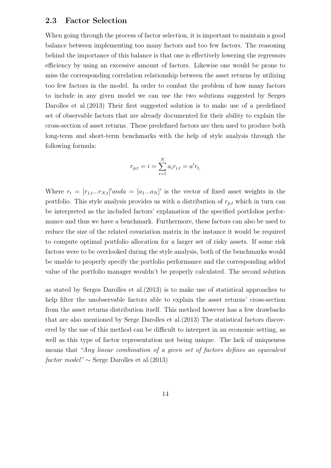#### 2.3 **Factor Selection**

When going through the process of factor selection, it is important to maintain a good balance between implementing too many factors and too few factors. The reasoning behind the importance of this balance is that one is effectively lowering the regressors efficiency by using an excessive amount of factors. Likewise one would be prone to miss the corresponding correlation relationship between the asset returns by utilizing too few factors in the model. In order to combat the problem of how many factors to include in any given model we can use the two solutions suggested by Serges Darolles et al. (2013) Their first suggested solution is to make use of a predefined set of observable factors that are already documented for their ability to explain the cross-section of asset returns. These predefined factors are then used to produce both long-term and short-term benchmarks with the help of style analysis through the following formula:

$$
r_{p,t} = i = \sum_{i=1}^{N} a_i r_{i,t} = a' r_{t,t}
$$

Where  $r_t = [r_{1,t}...r_{N,t}]'$  and  $a = [a_1...a_N]'$  is the vector of fixed asset weights in the portfolio. This style analysis provides us with a distribution of  $r_{p,t}$  which in turn can be interpreted as the included factors' explanation of the specified portfolios performance and thus we have a benchmark. Furthermore, these factors can also be used to reduce the size of the related covariation matrix in the instance it would be required to compute optimal portfolio allocation for a larger set of risky assets. If some risk factors were to be overlooked during the style analysis, both of the benchmarks would be unable to properly specify the portfolio performance and the corresponding added value of the portfolio manager wouldn't be properly calculated. The second solution

as stated by Serges Darolles et al.  $(2013)$  is to make use of statistical approaches to help filter the unobservable factors able to explain the asset returns' cross-section from the asset returns distribution itself. This method however has a few drawbacks that are also mentioned by Serge Darolles et al. (2013) The statistical factors discovered by the use of this method can be difficult to interpret in an economic setting, as well as this type of factor representation not being unique. The lack of uniqueness means that "Any linear combination of a given set of factors defines an equivalent factor model"  $\sim$  Serge Darolles et al. (2013)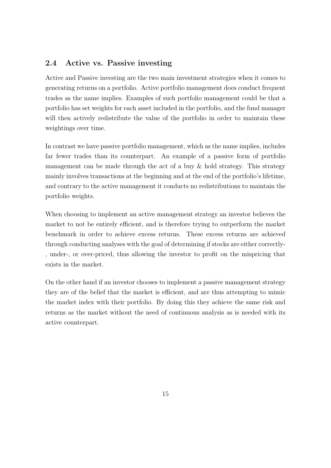#### 2.4 Active vs. Passive investing

Active and Passive investing are the two main investment strategies when it comes to generating returns on a portfolio. Active portfolio management does conduct frequent trades as the name implies. Examples of such portfolio management could be that a portfolio has set weights for each asset included in the portfolio, and the fund manager will then actively redistribute the value of the portfolio in order to maintain these weightings over time.

In contrast we have passive portfolio management, which as the name implies, includes far fewer trades than its counterpart. An example of a passive form of portfolio management can be made through the act of a buy  $\&$  hold strategy. This strategy mainly involves transactions at the beginning and at the end of the portfolio's lifetime, and contrary to the active management it conducts no redistributions to maintain the portfolio weights.

When choosing to implement an active management strategy an investor believes the market to not be entirely efficient, and is therefore trying to outperform the market benchmark in order to achieve excess returns. These excess returns are achieved through conducting analyses with the goal of determining if stocks are either correctly-, under-, or over-priced, thus allowing the investor to profit on the mispricing that exists in the market.

On the other hand if an investor chooses to implement a passive management strategy they are of the belief that the market is efficient, and are thus attempting to mimic the market index with their portfolio. By doing this they achieve the same risk and returns as the market without the need of continuous analysis as is needed with its active counterpart.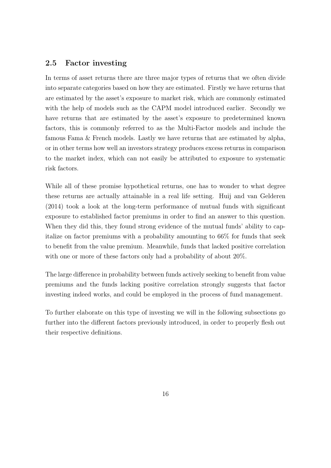#### 2.5 **Factor** investing

In terms of asset returns there are three major types of returns that we often divide into separate categories based on how they are estimated. Firstly we have returns that are estimated by the asset's exposure to market risk, which are commonly estimated with the help of models such as the CAPM model introduced earlier. Secondly we have returns that are estimated by the asset's exposure to predetermined known factors, this is commonly referred to as the Multi-Factor models and include the famous Fama & French models. Lastly we have returns that are estimated by alpha, or in other terms how well an investors strategy produces excess returns in comparison to the market index, which can not easily be attributed to exposure to systematic risk factors.

While all of these promise hypothetical returns, one has to wonder to what degree these returns are actually attainable in a real life setting. Huij and van Gelderen  $(2014)$  took a look at the long-term performance of mutual funds with significant exposure to established factor premiums in order to find an answer to this question. When they did this, they found strong evidence of the mutual funds' ability to capitalize on factor premiums with a probability amounting to 66% for funds that seek to benefit from the value premium. Meanwhile, funds that lacked positive correlation with one or more of these factors only had a probability of about  $20\%$ .

The large difference in probability between funds actively seeking to benefit from value premiums and the funds lacking positive correlation strongly suggests that factor investing indeed works, and could be employed in the process of fund management.

To further elaborate on this type of investing we will in the following subsections go further into the different factors previously introduced, in order to properly flesh out their respective definitions.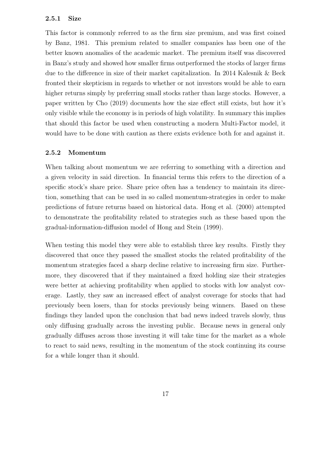#### 2.5.1 **Size**

This factor is commonly referred to as the firm size premium, and was first coined by Banz, 1981. This premium related to smaller companies has been one of the better known anomalies of the academic market. The premium itself was discovered in Banz's study and showed how smaller firms outperformed the stocks of larger firms due to the difference in size of their market capitalization. In 2014 Kalesnik & Beck fronted their skepticism in regards to whether or not investors would be able to earn higher returns simply by preferring small stocks rather than large stocks. However, a paper written by Cho (2019) documents how the size effect still exists, but how it's only visible while the economy is in periods of high volatility. In summary this implies that should this factor be used when constructing a modern Multi-Factor model, it would have to be done with caution as there exists evidence both for and against it.

#### 2.5.2 Momentum

When talking about momentum we are referring to something with a direction and a given velocity in said direction. In financial terms this refers to the direction of a specific stock's share price. Share price often has a tendency to maintain its direction, something that can be used in so called momentum-strategies in order to make predictions of future returns based on historical data. Hong et al. (2000) attempted to demonstrate the profitability related to strategies such as these based upon the gradual-information-diffusion model of Hong and Stein (1999).

When testing this model they were able to establish three key results. Firstly they discovered that once they passed the smallest stocks the related profitability of the momentum strategies faced a sharp decline relative to increasing firm size. Furthermore, they discovered that if they maintained a fixed holding size their strategies were better at achieving profitability when applied to stocks with low analyst coverage. Lastly, they saw an increased effect of analyst coverage for stocks that had previously been losers, than for stocks previously being winners. Based on these findings they landed upon the conclusion that bad news indeed travels slowly, thus only diffusing gradually across the investing public. Because news in general only gradually diffuses across those investing it will take time for the market as a whole to react to said news, resulting in the momentum of the stock continuing its course for a while longer than it should.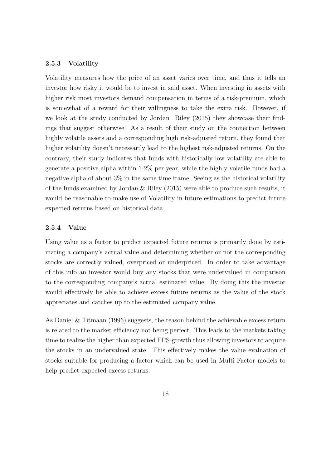#### 2.5.3 Volatility

Volatility measures how the price of an asset varies over time, and thus it tells an investor how risky it would be to invest in said asset. When investing in assets with higher risk most investors demand compensation in terms of a risk-premium, which is somewhat of a reward for their willingness to take the extra risk. However, if we look at the study conducted by Jordan Riley (2015) they showcase their findings that suggest otherwise. As a result of their study on the connection between highly volatile assets and a corresponding high risk-adjusted return, they found that higher volatility doesn't necessarily lead to the highest risk-adjusted returns. On the contrary, their study indicates that funds with historically low volatility are able to generate a positive alpha within  $1-2\%$  per year, while the highly volatile funds had a negative alpha of about  $3\%$  in the same time frame. Seeing as the historical volatility of the funds examined by Jordan & Riley  $(2015)$  were able to produce such results, it would be reasonable to make use of Volatility in future estimations to predict future expected returns based on historical data.

#### 2.5.4 Value

Using value as a factor to predict expected future returns is primarily done by estimating a company's actual value and determining whether or not the corresponding stocks are correctly valued, overpriced or underpriced. In order to take advantage of this info an investor would buy any stocks that were undervalued in comparison to the corresponding company's actual estimated value. By doing this the investor would effectively be able to achieve excess future returns as the value of the stock appreciates and catches up to the estimated company value.

As Daniel  $&$  Titmaan (1996) suggests, the reason behind the achievable excess return is related to the market efficiency not being perfect. This leads to the markets taking time to realize the higher than expected EPS-growth thus allowing investors to acquire the stocks in an undervalued state. This effectively makes the value evaluation of stocks suitable for producing a factor which can be used in Multi-Factor models to help predict expected excess returns.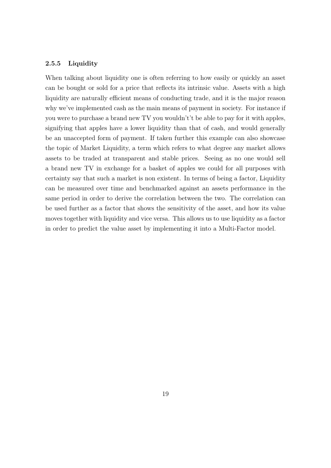#### 2.5.5 Liquidity

When talking about liquidity one is often referring to how easily or quickly an asset can be bought or sold for a price that reflects its intrinsic value. Assets with a high liquidity are naturally efficient means of conducting trade, and it is the major reason why we've implemented cash as the main means of payment in society. For instance if you were to purchase a brand new TV you wouldn't't be able to pay for it with apples, signifying that apples have a lower liquidity than that of cash, and would generally be an unaccepted form of payment. If taken further this example can also showcase the topic of Market Liquidity, a term which refers to what degree any market allows assets to be traded at transparent and stable prices. Seeing as no one would sell a brand new TV in exchange for a basket of apples we could for all purposes with certainty say that such a market is non existent. In terms of being a factor, Liquidity can be measured over time and benchmarked against an assets performance in the same period in order to derive the correlation between the two. The correlation can be used further as a factor that shows the sensitivity of the asset, and how its value moves together with liquidity and vice versa. This allows us to use liquidity as a factor in order to predict the value asset by implementing it into a Multi-Factor model.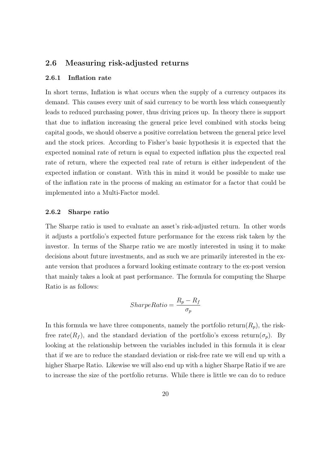#### Measuring risk-adjusted returns 2.6

#### 2.6.1 Inflation rate

In short terms, Inflation is what occurs when the supply of a currency outpaces its demand. This causes every unit of said currency to be worth less which consequently leads to reduced purchasing power, thus driving prices up. In theory there is support that due to inflation increasing the general price level combined with stocks being capital goods, we should observe a positive correlation between the general price level and the stock prices. According to Fisher's basic hypothesis it is expected that the expected nominal rate of return is equal to expected inflation plus the expected real rate of return, where the expected real rate of return is either independent of the expected inflation or constant. With this in mind it would be possible to make use of the inflation rate in the process of making an estimator for a factor that could be implemented into a Multi-Factor model.

#### 2.6.2 Sharpe ratio

The Sharpe ratio is used to evaluate an asset's risk-adjusted return. In other words it adjusts a portfolio's expected future performance for the excess risk taken by the investor. In terms of the Sharpe ratio we are mostly interested in using it to make decisions about future investments, and as such we are primarily interested in the exante version that produces a forward looking estimate contrary to the ex-post version that mainly takes a look at past performance. The formula for computing the Sharpe Ratio is as follows:

$$
SharpeRatio = \frac{R_p - R_f}{\sigma_p}
$$

In this formula we have three components, namely the portfolio return( $R_p$ ), the riskfree rate( $R_f$ ), and the standard deviation of the portfolio's excess return( $\sigma_p$ ). By looking at the relationship between the variables included in this formula it is clear that if we are to reduce the standard deviation or risk-free rate we will end up with a higher Sharpe Ratio. Likewise we will also end up with a higher Sharpe Ratio if we are to increase the size of the portfolio returns. While there is little we can do to reduce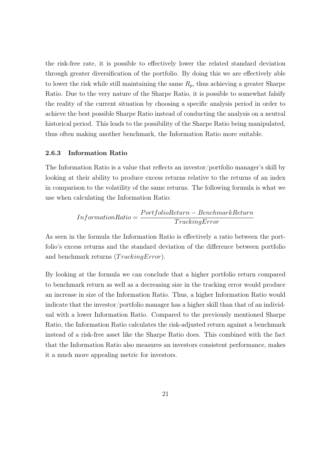the risk-free rate, it is possible to effectively lower the related standard deviation through greater diversification of the portfolio. By doing this we are effectively able to lower the risk while still maintaining the same  $R_p$ , thus achieving a greater Sharpe Ratio. Due to the very nature of the Sharpe Ratio, it is possible to somewhat falsify the reality of the current situation by choosing a specific analysis period in order to achieve the best possible Sharpe Ratio instead of conducting the analysis on a neutral historical period. This leads to the possibility of the Sharpe Ratio being manipulated, thus often making another benchmark, the Information Ratio more suitable.

#### 2.6.3 **Information Ratio**

The Information Ratio is a value that reflects an investor/portfolio manager's skill by looking at their ability to produce excess returns relative to the returns of an index in comparison to the volatility of the same returns. The following formula is what we use when calculating the Information Ratio:

$$
InformationRatio = \frac{PortfolioReturn - \textit{BenchmarkReturn}}{TrackingError}
$$

As seen in the formula the Information Ratio is effectively a ratio between the portfolio's excess returns and the standard deviation of the difference between portfolio and benchmark returns  $(TrackingError)$ .

By looking at the formula we can conclude that a higher portfolio return compared to benchmark return as well as a decreasing size in the tracking error would produce an increase in size of the Information Ratio. Thus, a higher Information Ratio would indicate that the investor/portfolio manager has a higher skill than that of an individual with a lower Information Ratio. Compared to the previously mentioned Sharpe Ratio, the Information Ratio calculates the risk-adjusted return against a benchmark instead of a risk-free asset like the Sharpe Ratio does. This combined with the fact that the Information Ratio also measures an investors consistent performance, makes it a much more appealing metric for investors.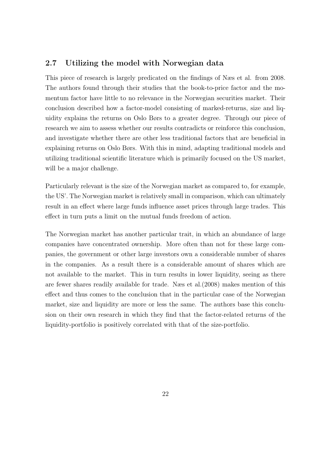#### $2.7$ Utilizing the model with Norwegian data

This piece of research is largely predicated on the findings of Næs et al. from 2008. The authors found through their studies that the book-to-price factor and the momentum factor have little to no relevance in the Norwegian securities market. Their conclusion described how a factor-model consisting of marked-returns, size and liquidity explains the returns on Oslo Børs to a greater degree. Through our piece of research we aim to assess whether our results contradicts or reinforce this conclusion, and investigate whether there are other less traditional factors that are beneficial in explaining returns on Oslo Børs. With this in mind, adapting traditional models and utilizing traditional scientific literature which is primarily focused on the US market, will be a major challenge.

Particularly relevant is the size of the Norwegian market as compared to, for example, the US'. The Norwegian market is relatively small in comparison, which can ultimately result in an effect where large funds influence asset prices through large trades. This effect in turn puts a limit on the mutual funds freedom of action.

The Norwegian market has another particular trait, in which an abundance of large companies have concentrated ownership. More often than not for these large companies, the government or other large investors own a considerable number of shares in the companies. As a result there is a considerable amount of shares which are not available to the market. This in turn results in lower liquidity, seeing as there are fewer shares readily available for trade. Nass et al. (2008) makes mention of this effect and thus comes to the conclusion that in the particular case of the Norwegian market, size and liquidity are more or less the same. The authors base this conclusion on their own research in which they find that the factor-related returns of the liquidity-portfolio is positively correlated with that of the size-portfolio.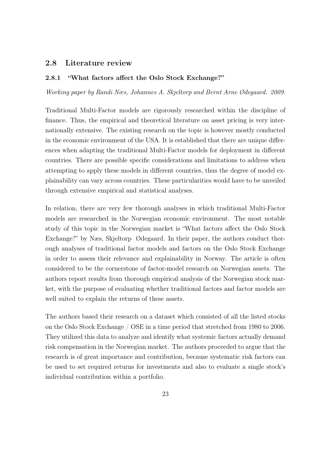#### 2.8 Literature review

#### 2.8.1 "What factors affect the Oslo Stock Exchange?"

Working paper by Randi Næs, Johannes A. Skjeltorp and Bernt Arne Ødegaard. 2009.

Traditional Multi-Factor models are rigorously researched within the discipline of finance. Thus, the empirical and theoretical literature on asset pricing is very internationally extensive. The existing research on the topic is however mostly conducted in the economic environment of the USA. It is established that there are unique differences when adapting the traditional Multi-Factor models for deployment in different countries. There are possible specific considerations and limitations to address when attempting to apply these models in different countries, thus the degree of model explainability can vary across countries. These particularities would have to be unveiled through extensive empirical and statistical analyses.

In relation, there are very few thorough analyses in which traditional Multi-Factor models are researched in the Norwegian economic environment. The most notable study of this topic in the Norwegian market is "What factors affect the Oslo Stock Exchange?" by Næs, Skjeltorp Ødegaard. In their paper, the authors conduct thorough analyses of traditional factor models and factors on the Oslo Stock Exchange in order to assess their relevance and explainability in Norway. The article is often considered to be the cornerstone of factor-model research on Norwegian assets. The authors report results from thorough empirical analysis of the Norwegian stock market, with the purpose of evaluating whether traditional factors and factor models are well suited to explain the returns of these assets.

The authors based their research on a dataset which consisted of all the listed stocks on the Oslo Stock Exchange / OSE in a time period that stretched from 1980 to 2006. They utilized this data to analyze and identify what systemic factors actually demand risk compensation in the Norwegian market. The authors proceeded to argue that the research is of great importance and contribution, because systematic risk factors can be used to set required returns for investments and also to evaluate a single stock's individual contribution within a portfolio.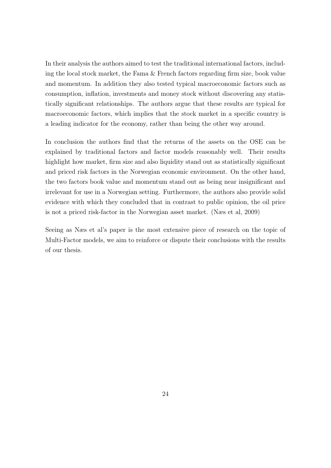In their analysis the authors aimed to test the traditional international factors, including the local stock market, the Fama & French factors regarding firm size, book value and momentum. In addition they also tested typical macroeconomic factors such as consumption, inflation, investments and money stock without discovering any statistically significant relationships. The authors argue that these results are typical for macroeconomic factors, which implies that the stock market in a specific country is a leading indicator for the economy, rather than being the other way around.

In conclusion the authors find that the returns of the assets on the OSE can be explained by traditional factors and factor models reasonably well. Their results highlight how market, firm size and also liquidity stand out as statistically significant and priced risk factors in the Norwegian economic environment. On the other hand, the two factors book value and momentum stand out as being near insignificant and irrelevant for use in a Norwegian setting. Furthermore, the authors also provide solid evidence with which they concluded that in contrast to public opinion, the oil price is not a priced risk-factor in the Norwegian asset market. (Næs et al. 2009)

Seeing as Næs et al's paper is the most extensive piece of research on the topic of Multi-Factor models, we aim to reinforce or dispute their conclusions with the results of our thesis.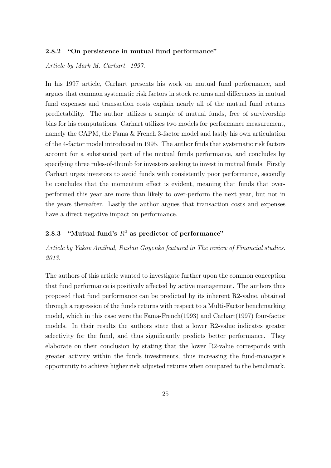#### "On persistence in mutual fund performance" 2.8.2

### Article by Mark M. Carhart. 1997.

In his 1997 article, Carhart presents his work on mutual fund performance, and argues that common systematic risk factors in stock returns and differences in mutual fund expenses and transaction costs explain nearly all of the mutual fund returns predictability. The author utilizes a sample of mutual funds, free of survivorship bias for his computations. Carhart utilizes two models for performance measurement, namely the CAPM, the Fama & French 3-factor model and lastly his own articulation of the 4-factor model introduced in 1995. The author finds that systematic risk factors account for a substantial part of the mutual funds performance, and concludes by specifying three rules-of-thumb for investors seeking to invest in mutual funds: Firstly Carhart urges investors to avoid funds with consistently poor performance, secondly he concludes that the momentum effect is evident, meaning that funds that overperformed this year are more than likely to over-perform the next year, but not in the vears thereafter. Lastly the author argues that transaction costs and expenses have a direct negative impact on performance.

#### "Mutual fund's  $R^2$  as predictor of performance" 2.8.3

### Article by Yakov Amihud, Ruslan Goyenko featured in The review of Financial studies. 2013.

The authors of this article wanted to investigate further upon the common conception that fund performance is positively affected by active management. The authors thus proposed that fund performance can be predicted by its inherent R2-value, obtained through a regression of the funds returns with respect to a Multi-Factor benchmarking model, which in this case were the Fama-French  $(1993)$  and Carhart  $(1997)$  four-factor models. In their results the authors state that a lower R2-value indicates greater selectivity for the fund, and thus significantly predicts better performance. They elaborate on their conclusion by stating that the lower R2-value corresponds with greater activity within the funds investments, thus increasing the fund-manager's opportunity to achieve higher risk adjusted returns when compared to the benchmark.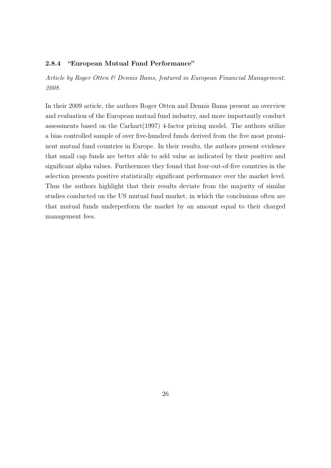#### "European Mutual Fund Performance" 2.8.4

Article by Roger Otten & Dennis Bams, featured in European Financial Management. 2008.

In their 2009 article, the authors Roger Otten and Dennis Bams present an overview and evaluation of the European mutual fund industry, and more importantly conduct assessments based on the Carhart (1997) 4-factor pricing model. The authors utilize a bias controlled sample of over five-hundred funds derived from the five most prominent mutual fund countries in Europe. In their results, the authors present evidence that small cap funds are better able to add value as indicated by their positive and significant alpha values. Furthermore they found that four-out-of-five countries in the selection presents positive statistically significant performance over the market level. Thus the authors highlight that their results deviate from the majority of similar studies conducted on the US mutual fund market, in which the conclusions often are that mutual funds underperform the market by an amount equal to their charged management fees.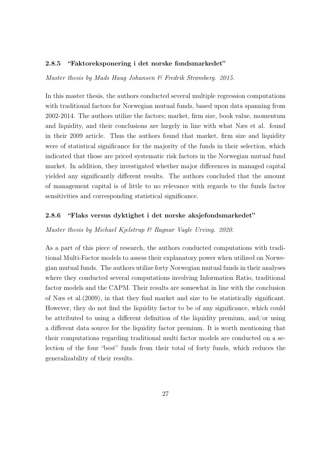#### "Faktoreksponering i det norske fondsmarkedet" 2.8.5

Master thesis by Mads Haug Johansen & Fredrik Strømberg. 2015.

In this master thesis, the authors conducted several multiple regression computations with traditional factors for Norwegian mutual funds, based upon data spanning from 2002-2014. The authors utilize the factors; market, firm size, book value, momentum and liquidity, and their conclusions are largely in line with what Næs et al. found in their 2009 article. Thus the authors found that market, firm size and liquidity were of statistical significance for the majority of the funds in their selection, which indicated that those are priced systematic risk factors in the Norwegian mutual fund market. In addition, they investigated whether major differences in managed capital yielded any significantly different results. The authors concluded that the amount of management capital is of little to no relevance with regards to the funds factor sensitivities and corresponding statistical significance.

#### 2.8.6 "Flaks versus dyktighet i det norske aksjefondsmarkedet"

### Master thesis by Michael Kjelstrup  $\mathcal B$  Ragnar Vagle Urving. 2020.

As a part of this piece of research, the authors conducted computations with traditional Multi-Factor models to assess their explanatory power when utilized on Norwegian mutual funds. The authors utilize forty Norwegian mutual funds in their analyses where they conducted several computations involving Information Ratio, traditional factor models and the CAPM. Their results are somewhat in line with the conclusion of Næs et al. (2009), in that they find market and size to be statistically significant. However, they do not find the liquidity factor to be of any significance, which could be attributed to using a different definition of the liquidity premium, and/or using a different data source for the liquidity factor premium. It is worth mentioning that their computations regarding traditional multi factor models are conducted on a selection of the four "best" funds from their total of forty funds, which reduces the generalizability of their results.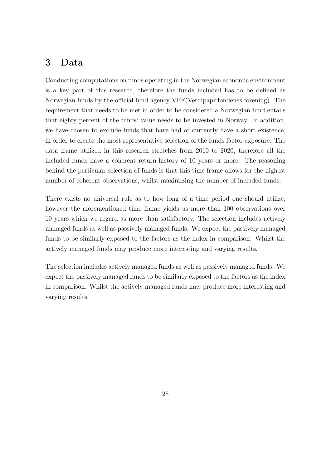## 3 Data

Conducting computations on funds operating in the Norwegian economic environment is a key part of this research, therefore the funds included has to be defined as Norwegian funds by the official fund agency VFF (Verdipapirfondenes forening). The requirement that needs to be met in order to be considered a Norwegian fund entails that eighty percent of the funds' value needs to be invested in Norway. In addition, we have chosen to exclude funds that have had or currently have a short existence, in order to create the most representative selection of the funds factor exposure. The data frame utilized in this research stretches from 2010 to 2020, therefore all the included funds have a coherent return-history of 10 years or more. The reasoning behind the particular selection of funds is that this time frame allows for the highest number of coherent observations, whilst maximizing the number of included funds.

There exists no universal rule as to how long of a time period one should utilize, however the aforementioned time frame yields us more than 100 observations over 10 years which we regard as more than satisfactory. The selection includes actively managed funds as well as passively managed funds. We expect the passively managed funds to be similarly exposed to the factors as the index in comparison. Whilst the actively managed funds may produce more interesting and varying results.

The selection includes actively managed funds as well as passively managed funds. We expect the passively managed funds to be similarly exposed to the factors as the index in comparison. Whilst the actively managed funds may produce more interesting and varying results.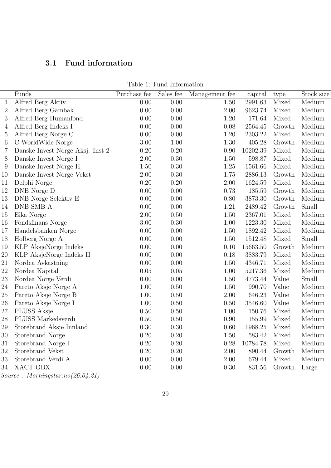## $3.1$ Fund information

| Table 1: Fund Information |  |  |  |  |
|---------------------------|--|--|--|--|
|---------------------------|--|--|--|--|

|                | Funds                                | Purchase fee | Sales fee         | Management fee | capital  | type         | Stock size |
|----------------|--------------------------------------|--------------|-------------------|----------------|----------|--------------|------------|
| $\mathbf{1}$   | Alfred Berg Aktiv                    | 0.00         | $\overline{0.00}$ | 1.50           | 2991.63  | <b>Mixed</b> | Medium     |
| $\overline{2}$ | Alfred Berg Gambak                   | 0.00         | 0.00              | 2.00           | 9623.74  | Mixed        | Medium     |
| 3              | Alfred Berg Humanfond                | 0.00         | 0.00              | $1.20\,$       | 171.64   | Mixed        | Medium     |
| 4              | Alfred Berg Indeks I                 | 0.00         | 0.00              | 0.08           | 2564.45  | Growth       | Medium     |
| 5              | Alfred Berg Norge C                  | 0.00         | 0.00              | 1.20           | 2303.22  | Mixed        | Medium     |
| $\,6$          | C WorldWide Norge                    | 3.00         | 1.00              | 1.30           | 405.28   | Growth       | Medium     |
| 7              | Danske Invest Norge Aksj. Inst 2     | 0.20         | 0.20              | 0.90           | 10202.39 | Mixed        | Medium     |
| 8              | Danske Invest Norge I                | 2.00         | 0.30              | 1.50           | 598.87   | Mixed        | Medium     |
| 9              | Danske Invest Norge II               | 1.50         | 0.30              | 1.25           | 1561.66  | Mixed        | Medium     |
| 10             | Danske Invest Norge Vekst            | $2.00\,$     | 0.30              | 1.75           | 2886.13  | Growth       | Medium     |
| 11             | Delphi Norge                         | 0.20         | 0.20              | 2.00           | 1624.59  | Mixed        | Medium     |
| 12             | DNB Norge D                          | 0.00         | 0.00              | 0.73           | 185.59   | Growth       | Medium     |
| 13             | ${\rm DNB}$ Norge Selektiv ${\rm E}$ | 0.00         | 0.00              | 0.80           | 3873.30  | Growth       | Medium     |
| 14             | DNB SMB A                            | 0.00         | 0.00              | 1.21           | 2489.42  | Growth       | Small      |
| 15             | Eika Norge                           | 2.00         | 0.50              | 1.50           | 2367.01  | Mixed        | Medium     |
| 16             | Fondsfinans Norge                    | 3.00         | 0.30              | 1.00           | 1223.30  | Mixed        | Medium     |
| 17             | Handelsbanken Norge                  | 0.00         | 0.00              | 1.50           | 1892.42  | Mixed        | Medium     |
| 18             | Holberg Norge A                      | 0.00         | 0.00              | 1.50           | 1512.48  | Mixed        | Small      |
| 19             | KLP AksjeNorge Indeks                | 0.00         | 0.00              | 0.10           | 15663.50 | Growth       | Medium     |
| 20             | KLP AksjeNorge Indeks II             | 0.00         | 0.00              | 0.18           | 3883.79  | Mixed        | Medium     |
| 21             | Nordea Avkastning                    | 0.00         | 0.00              | 1.50           | 4346.71  | Mixed        | Medium     |
| 22             | Nordea Kapital                       | 0.05         | 0.05              | 1.00           | 5217.36  | Mixed        | Medium     |
| 23             | Nordea Norge Verdi                   | 0.00         | 0.00              | 1.50           | 4773.44  | Value        | Small      |
| 24             | Pareto Aksje Norge A                 | 1.00         | 0.50              | 1.50           | 990.70   | Value        | Medium     |
| 25             | Pareto Aksje Norge B                 | 1.00         | 0.50              | 2.00           | 646.23   | Value        | Medium     |
| 26             | Pareto Aksje Norge I                 | 1.00         | 0.50              | 0.50           | 3546.60  | Value        | Medium     |
| 27             | PLUSS Aksje                          | 0.50         | 0.50              | 1.00           | 150.76   | Mixed        | Medium     |
| 28             | PLUSS Markedsverdi                   | 0.50         | 0.50              | 0.90           | 155.99   | Mixed        | Medium     |
| 29             | Storebrand Aksje Innland             | 0.30         | 0.30              | 0.60           | 1968.25  | Mixed        | Medium     |
| 30             | Storebrand Norge                     | 0.20         | 0.20              | 1.50           | 583.42   | Mixed        | Medium     |
| 31             | Storebrand Norge I                   | 0.20         | 0.20              | 0.28           | 10784.78 | Mixed        | Medium     |
| 32             | Storebrand Vekst                     | 0.20         | 0.20              | 2.00           | 890.44   | Growth       | Medium     |
| 33             | Storebrand Verdi A                   | 0.00         | 0.00              | 2.00           | 679.44   | Mixed        | Medium     |
| $34\,$         | XACT OBX                             | 0.00         | 0.00              | 0.30           | 831.56   | Growth       | Large      |

 $\frac{1}{Source: \;<sup>2</sup> Morningstar.no(26.04.21)$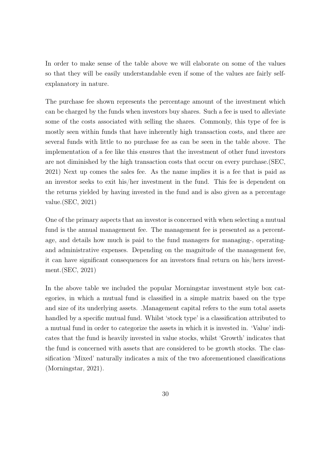In order to make sense of the table above we will elaborate on some of the values so that they will be easily understandable even if some of the values are fairly selfexplanatory in nature.

The purchase fee shown represents the percentage amount of the investment which can be charged by the funds when investors buy shares. Such a fee is used to alleviate some of the costs associated with selling the shares. Commonly, this type of fee is mostly seen within funds that have inherently high transaction costs, and there are several funds with little to no purchase fee as can be seen in the table above. The implementation of a fee like this ensures that the investment of other fund investors are not diminished by the high transaction costs that occur on every purchase. (SEC, 2021) Next up comes the sales fee. As the name implies it is a fee that is paid as an investor seeks to exit his/her investment in the fund. This fee is dependent on the returns yielded by having invested in the fund and is also given as a percentage value. $(SEC, 2021)$ 

One of the primary aspects that an investor is concerned with when selecting a mutual fund is the annual management fee. The management fee is presented as a percentage, and details how much is paid to the fund managers for managing-, operatingand administrative expenses. Depending on the magnitude of the management fee, it can have significant consequences for an investors final return on his/hers investment. $(SEC, 2021)$ 

In the above table we included the popular Morningstar investment style box categories, in which a mutual fund is classified in a simple matrix based on the type and size of its underlying assets. Management capital refers to the sum total assets handled by a specific mutual fund. Whilst 'stock type' is a classification attributed to a mutual fund in order to categorize the assets in which it is invested in. 'Value' indicates that the fund is heavily invested in value stocks, whilst 'Growth' indicates that the fund is concerned with assets that are considered to be growth stocks. The classification 'Mixed' naturally indicates a mix of the two aforementioned classifications (Morningstar,  $2021$ ).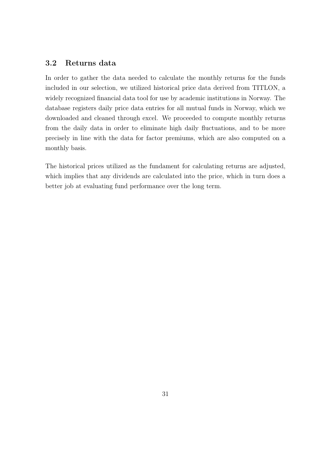## 3.2 Returns data

In order to gather the data needed to calculate the monthly returns for the funds included in our selection, we utilized historical price data derived from TITLON, a widely recognized financial data tool for use by academic institutions in Norway. The database registers daily price data entries for all mutual funds in Norway, which we downloaded and cleaned through excel. We proceeded to compute monthly returns from the daily data in order to eliminate high daily fluctuations, and to be more precisely in line with the data for factor premiums, which are also computed on a monthly basis.

The historical prices utilized as the fundament for calculating returns are adjusted, which implies that any dividends are calculated into the price, which in turn does a better job at evaluating fund performance over the long term.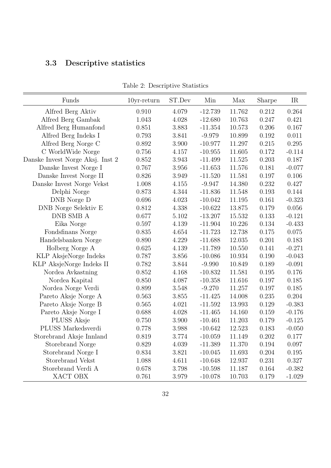## $3.3\,$ Descriptive statistics

| Funds                            | $10yr$ -return | ST.Dev | Min       | Max    | Sharpe | IR        |
|----------------------------------|----------------|--------|-----------|--------|--------|-----------|
| Alfred Berg Aktiv                | 0.910          | 4.079  | $-12.739$ | 11.762 | 0.212  | 0.264     |
| Alfred Berg Gambak               | 1.043          | 4.028  | $-12.680$ | 10.763 | 0.247  | 0.421     |
| Alfred Berg Humanfond            | 0.851          | 3.883  | $-11.354$ | 10.573 | 0.206  | 0.167     |
| Alfred Berg Indeks I             | 0.793          | 3.841  | $-9.979$  | 10.899 | 0.192  | 0.011     |
| Alfred Berg Norge C              | 0.892          | 3.900  | $-10.977$ | 11.297 | 0.215  | 0.295     |
| C WorldWide Norge                | 0.756          | 4.157  | $-10.955$ | 11.605 | 0.172  | $-0.114$  |
| Danske Invest Norge Aksj. Inst 2 | 0.852          | 3.943  | $-11.499$ | 11.525 | 0.203  | 0.187     |
| Danske Invest Norge I            | 0.767          | 3.956  | $-11.653$ | 11.576 | 0.181  | $-0.077$  |
| Danske Invest Norge II           | 0.826          | 3.949  | $-11.520$ | 11.581 | 0.197  | 0.106     |
| Danske Invest Norge Vekst        | 1.008          | 4.155  | $-9.947$  | 14.380 | 0.232  | 0.427     |
| Delphi Norge                     | 0.873          | 4.344  | $-11.836$ | 11.548 | 0.193  | 0.144     |
| DNB Norge D                      | 0.696          | 4.023  | $-10.042$ | 11.195 | 0.161  | $-0.323$  |
| DNB Norge Selektiv E             | 0.812          | 4.338  | $-10.622$ | 13.875 | 0.179  | 0.056     |
| DNB SMB A                        | 0.677          | 5.102  | $-13.207$ | 15.532 | 0.133  | $-0.121$  |
| Eika Norge                       | 0.597          | 4.139  | $-11.904$ | 10.226 | 0.134  | $-0.433$  |
| Fondsfinans Norge                | 0.835          | 4.654  | $-11.723$ | 12.738 | 0.175  | 0.075     |
| Handelsbanken Norge              | 0.890          | 4.229  | $-11.688$ | 12.035 | 0.201  | 0.183     |
| Holberg Norge A                  | 0.625          | 4.139  | $-11.789$ | 10.550 | 0.141  | $-0.271$  |
| KLP AksjeNorge Indeks            | 0.787          | 3.856  | $-10.086$ | 10.934 | 0.190  | $-0.043$  |
| KLP AksjeNorge Indeks II         | 0.782          | 3.844  | $-9.990$  | 10.849 | 0.189  | $-0.091$  |
| Nordea Avkastning                | 0.852          | 4.168  | $-10.832$ | 11.581 | 0.195  | 0.176     |
| Nordea Kapital                   | 0.850          | 4.087  | $-10.358$ | 11.616 | 0.197  | 0.185     |
| Nordea Norge Verdi               | 0.899          | 3.548  | $-9.270$  | 11.257 | 0.197  | 0.185     |
| Pareto Aksje Norge A             | 0.563          | 3.855  | $-11.425$ | 14.008 | 0.235  | 0.204     |
| Pareto Aksje Norge B             | 0.565          | 4.021  | $-11.592$ | 13.993 | 0.129  | $-0.383$  |
| Pareto Aksje Norge I             | 0.688          | 4.028  | $-11.465$ | 14.160 | 0.159  | $-0.176$  |
| PLUSS Aksje                      | 0.750          | 3.900  | $-10.461$ | 11.203 | 0.179  | $-0.125$  |
| PLUSS Markedsverdi               | 0.778          | 3.988  | $-10.642$ | 12.523 | 0.183  | $-0.050$  |
| Storebrand Aksje Innland         | 0.819          | 3.774  | $-10.059$ | 11.149 | 0.202  | $0.177\,$ |
| Storebrand Norge                 | 0.829          | 4.039  | $-11.389$ | 11.370 | 0.194  | 0.097     |
| Storebrand Norge I               | 0.834          | 3.821  | $-10.045$ | 11.693 | 0.204  | 0.195     |
| Storebrand Vekst                 | 1.088          | 4.611  | $-10.648$ | 12.937 | 0.231  | 0.327     |
| Storebrand Verdi A               | 0.678          | 3.798  | $-10.598$ | 11.187 | 0.164  | $-0.382$  |
| XACT OBX                         | 0.761          | 3.979  | $-10.078$ | 10.703 | 0.179  | $-1.029$  |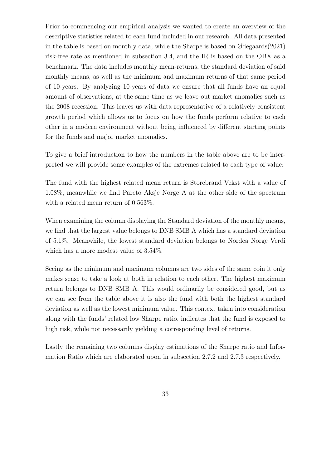Prior to commencing our empirical analysis we wanted to create an overview of the descriptive statistics related to each fund included in our research. All data presented in the table is based on monthly data, while the Sharpe is based on  $\mathcal{O}$  degraands (2021) risk-free rate as mentioned in subsection 3.4, and the IR is based on the OBX as a benchmark. The data includes monthly mean-returns, the standard deviation of said monthly means, as well as the minimum and maximum returns of that same period of 10-years. By analyzing 10-years of data we ensure that all funds have an equal amount of observations, at the same time as we leave out market anomalies such as the 2008-recession. This leaves us with data representative of a relatively consistent growth period which allows us to focus on how the funds perform relative to each other in a modern environment without being influenced by different starting points for the funds and major market anomalies.

To give a brief introduction to how the numbers in the table above are to be interpreted we will provide some examples of the extremes related to each type of value:

The fund with the highest related mean return is Storebrand Vekst with a value of 1.08%, meanwhile we find Pareto Aksje Norge A at the other side of the spectrum with a related mean return of  $0.563\%$ .

When examining the column displaying the Standard deviation of the monthly means, we find that the largest value belongs to DNB SMB A which has a standard deviation of 5.1%. Meanwhile, the lowest standard deviation belongs to Nordea Norge Verdi which has a more modest value of  $3.54\%$ .

Seeing as the minimum and maximum columns are two sides of the same coin it only makes sense to take a look at both in relation to each other. The highest maximum return belongs to DNB SMB A. This would ordinarily be considered good, but as we can see from the table above it is also the fund with both the highest standard deviation as well as the lowest minimum value. This context taken into consideration along with the funds' related low Sharpe ratio, indicates that the fund is exposed to high risk, while not necessarily yielding a corresponding level of returns.

Lastly the remaining two columns display estimations of the Sharpe ratio and Information Ratio which are elaborated upon in subsection 2.7.2 and 2.7.3 respectively.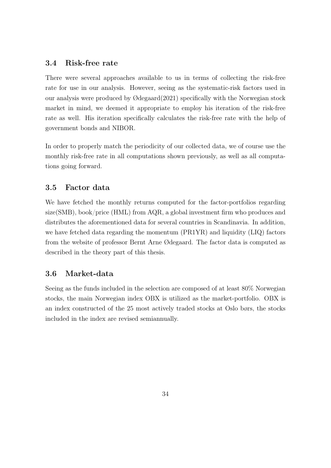## 3.4 Risk-free rate

There were several approaches available to us in terms of collecting the risk-free rate for use in our analysis. However, seeing as the systematic-risk factors used in our analysis were produced by  $\mathcal{O}$ degaard $(2021)$  specifically with the Norwegian stock market in mind, we deemed it appropriate to employ his iteration of the risk-free rate as well. His iteration specifically calculates the risk-free rate with the help of government bonds and NIBOR.

In order to properly match the periodicity of our collected data, we of course use the monthly risk-free rate in all computations shown previously, as well as all computations going forward.

## 3.5 Factor data

We have fetched the monthly returns computed for the factor-portfolios regarding  $size(SMB)$ , book/price (HML) from AQR, a global investment firm who produces and distributes the aforementioned data for several countries in Scandinavia. In addition, we have fetched data regarding the momentum (PR1YR) and liquidity (LIQ) factors from the website of professor Bernt Arne Ødegaard. The factor data is computed as described in the theory part of this thesis.

## 3.6 Market-data

Seeing as the funds included in the selection are composed of at least 80% Norwegian stocks, the main Norwegian index OBX is utilized as the market-portfolio. OBX is an index constructed of the 25 most actively traded stocks at Oslo børs, the stocks included in the index are revised semiannually.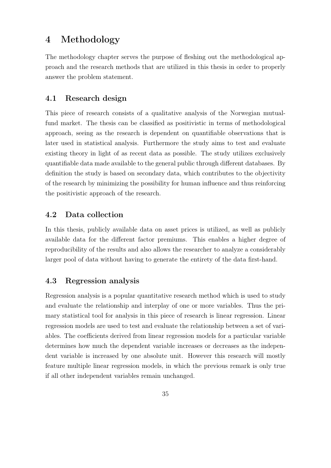## $\overline{4}$ Methodology

The methodology chapter serves the purpose of fleshing out the methodological approach and the research methods that are utilized in this thesis in order to properly answer the problem statement.

## 4.1 Research design

This piece of research consists of a qualitative analysis of the Norwegian mutualfund market. The thesis can be classified as positivistic in terms of methodological approach, seeing as the research is dependent on quantifiable observations that is later used in statistical analysis. Furthermore the study aims to test and evaluate existing theory in light of as recent data as possible. The study utilizes exclusively quantifiable data made available to the general public through different databases. By definition the study is based on secondary data, which contributes to the objectivity of the research by minimizing the possibility for human influence and thus reinforcing the positivistic approach of the research.

## $4.2$ Data collection

In this thesis, publicly available data on asset prices is utilized, as well as publicly available data for the different factor premiums. This enables a higher degree of reproducibility of the results and also allows the researcher to analyze a considerably larger pool of data without having to generate the entirety of the data first-hand.

## 4.3 Regression analysis

Regression analysis is a popular quantitative research method which is used to study and evaluate the relationship and interplay of one or more variables. Thus the primary statistical tool for analysis in this piece of research is linear regression. Linear regression models are used to test and evaluate the relationship between a set of variables. The coefficients derived from linear regression models for a particular variable determines how much the dependent variable increases or decreases as the independent variable is increased by one absolute unit. However this research will mostly feature multiple linear regression models, in which the previous remark is only true if all other independent variables remain unchanged.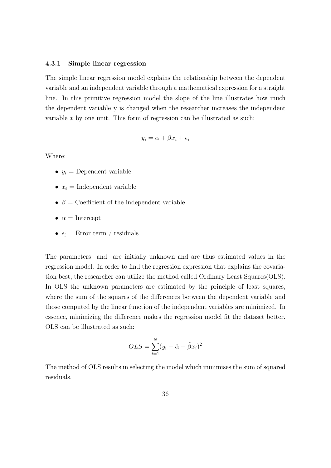#### 4.3.1 Simple linear regression

The simple linear regression model explains the relationship between the dependent variable and an independent variable through a mathematical expression for a straight line. In this primitive regression model the slope of the line illustrates how much the dependent variable y is changed when the researcher increases the independent variable  $x$  by one unit. This form of regression can be illustrated as such:

$$
y_i = \alpha + \beta x_i + \epsilon_i
$$

Where:

- $y_i$  = Dependent variable
- $x_i$  = Independent variable
- $\beta$  = Coefficient of the independent variable
- $\bullet \ \alpha = \text{Intercept}$
- $\epsilon_i =$  Error term / residuals

The parameters and are initially unknown and are thus estimated values in the regression model. In order to find the regression expression that explains the covariation best, the researcher can utilize the method called Ordinary Least Squares (OLS). In OLS the unknown parameters are estimated by the principle of least squares, where the sum of the squares of the differences between the dependent variable and those computed by the linear function of the independent variables are minimized. In essence, minimizing the difference makes the regression model fit the dataset better. OLS can be illustrated as such:

$$
OLS = \sum_{i=1}^{N} (y_i - \hat{\alpha} - \hat{\beta}x_i)^2
$$

The method of OLS results in selecting the model which minimises the sum of squared residuals.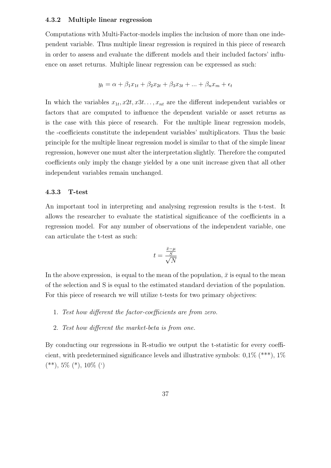#### Multiple linear regression  $4.3.2$

Computations with Multi-Factor-models implies the inclusion of more than one independent variable. Thus multiple linear regression is required in this piece of research in order to assess and evaluate the different models and their included factors' influence on asset returns. Multiple linear regression can be expressed as such:

$$
y_t = \alpha + \beta_1 x_{1t} + \beta_2 x_{2t} + \beta_3 x_{3t} + \dots + \beta_n x_m + \epsilon_t
$$

In which the variables  $x_{1t}, x_{2t}, x_{3t}, \ldots, x_{nt}$  are the different independent variables or factors that are computed to influence the dependent variable or asset returns as is the case with this piece of research. For the multiple linear regression models, the -coefficients constitute the independent variables' multiplicators. Thus the basic principle for the multiple linear regression model is similar to that of the simple linear regression, however one must alter the interpretation slightly. Therefore the computed coefficients only imply the change yielded by a one unit increase given that all other independent variables remain unchanged.

### 4.3.3 T-test

An important tool in interpreting and analysing regression results is the t-test. It allows the researcher to evaluate the statistical significance of the coefficients in a regression model. For any number of observations of the independent variable, one can articulate the t-test as such:

$$
t = \frac{\frac{\bar{x} - \mu}{S}}{\sqrt{N}}
$$

In the above expression, is equal to the mean of the population,  $\bar{x}$  is equal to the mean of the selection and S is equal to the estimated standard deviation of the population. For this piece of research we will utilize t-tests for two primary objectives:

- 1. Test how different the factor-coefficients are from zero.
- 2. Test how different the market-beta is from one.

By conducting our regressions in R-studio we output the t-statistic for every coefficient, with predetermined significance levels and illustrative symbols:  $0.1\%$  (\*\*\*),  $1\%$  $(**)$ , 5%  $(*)$ , 10%  $(*)$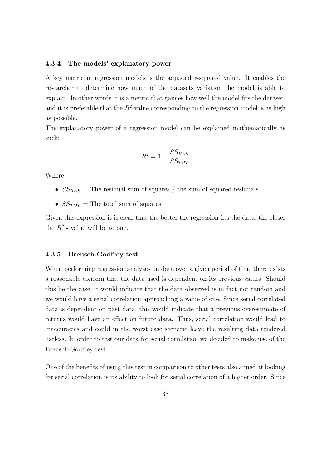#### 4.3.4 The models' explanatory power

A key metric in regression models is the adjusted r-squared value. It enables the researcher to determine how much of the datasets variation the model is able to explain. In other words it is a metric that gauges how well the model fits the dataset, and it is preferable that the  $R^2$ -value corresponding to the regression model is as high as possible.

The explanatory power of a regression model can be explained mathematically as such:

$$
R^2 = 1 - \frac{SS_{RES}}{SS_{TOT}}
$$

Where:

- $SS_{RES}$  = The residual sum of squares / the sum of squared residuals
- $SS_{TOT}$  = The total sum of squares

Given this expression it is clear that the better the regression fits the data, the closer the  $R^2$  - value will be to one.

### 4.3.5 **Breusch-Godfrey test**

When performing regression analyses on data over a given period of time there exists a reasonable concern that the data used is dependent on its previous values. Should this be the case, it would indicate that the data observed is in fact not random and we would have a serial correlation approaching a value of one. Since serial correlated data is dependent on past data, this would indicate that a previous overestimate of returns would have an effect on future data. Thus, serial correlation would lead to inaccuracies and could in the worst case scenario leave the resulting data rendered useless. In order to test our data for serial correlation we decided to make use of the Breusch-Godfrey test.

One of the benefits of using this test in comparison to other tests also aimed at looking for serial correlation is its ability to look for serial correlation of a higher order. Since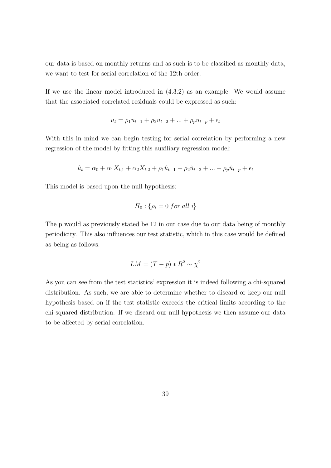our data is based on monthly returns and as such is to be classified as monthly data, we want to test for serial correlation of the 12th order.

If we use the linear model introduced in  $(4.3.2)$  as an example: We would assume that the associated correlated residuals could be expressed as such:

$$
u_t = \rho_1 u_{t-1} + \rho_2 u_{t-2} + \dots + \rho_p u_{t-p} + \epsilon_t
$$

With this in mind we can begin testing for serial correlation by performing a new regression of the model by fitting this auxiliary regression model:

$$
\hat{u}_t = \alpha_0 + \alpha_1 X_{t,1} + \alpha_2 X_{t,2} + \rho_1 \hat{u}_{t-1} + \rho_2 \hat{u}_{t-2} + \dots + \rho_p \hat{u}_{t-p} + \epsilon_t
$$

This model is based upon the null hypothesis:

$$
H_0: \{\rho_i = 0 \ for \ all \ i\}
$$

The p would as previously stated be 12 in our case due to our data being of monthly periodicity. This also influences our test statistic, which in this case would be defined as being as follows:

$$
LM = (T - p) * R^2 \sim \chi^2
$$

As you can see from the test statistics' expression it is indeed following a chi-squared distribution. As such, we are able to determine whether to discard or keep our null hypothesis based on if the test statistic exceeds the critical limits according to the chi-squared distribution. If we discard our null hypothesis we then assume our data to be affected by serial correlation.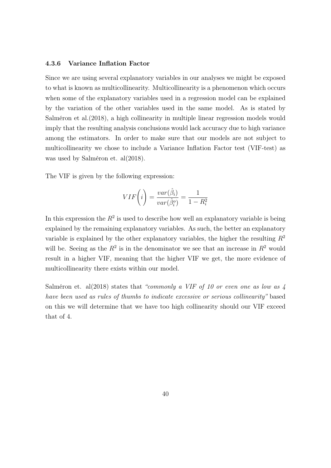#### **Variance Inflation Factor** 4.3.6

Since we are using several explanatory variables in our analyses we might be exposed to what is known as multicollinearity. Multicollinearity is a phenomenon which occurs when some of the explanatory variables used in a regression model can be explained by the variation of the other variables used in the same model. As is stated by Salméron et al. (2018), a high collinearity in multiple linear regression models would imply that the resulting analysis conclusions would lack accuracy due to high variance among the estimators. In order to make sure that our models are not subject to multicollinearity we chose to include a Variance Inflation Factor test (VIF-test) as was used by Salméron et. al $(2018)$ .

The VIF is given by the following expression:

$$
VIF(i) = \frac{var(\hat{\beta}_i)}{var(\hat{\beta}_i^o)} = \frac{1}{1 - R_i^2}
$$

In this expression the  $R^2$  is used to describe how well an explanatory variable is being explained by the remaining explanatory variables. As such, the better an explanatory variable is explained by the other explanatory variables, the higher the resulting  $R^2$ will be. Seeing as the  $R^2$  is in the denominator we see that an increase in  $R^2$  would result in a higher VIF, meaning that the higher VIF we get, the more evidence of multicollinearity there exists within our model.

Salméron et. al(2018) states that "commonly a VIF of 10 or even one as low as  $\lambda$ have been used as rules of thumbs to indicate excessive or serious collinearity" based on this we will determine that we have too high collinearity should our VIF exceed that of 4.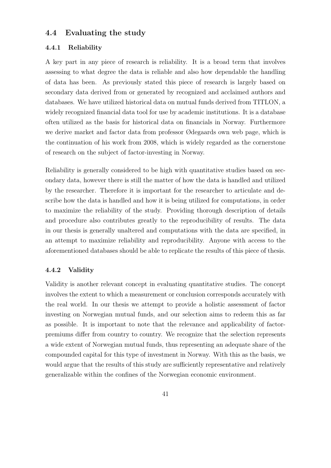## 4.4 Evaluating the study

## 4.4.1 Reliability

A key part in any piece of research is reliability. It is a broad term that involves assessing to what degree the data is reliable and also how dependable the handling of data has been. As previously stated this piece of research is largely based on secondary data derived from or generated by recognized and acclaimed authors and databases. We have utilized historical data on mutual funds derived from TITLON, a widely recognized financial data tool for use by academic institutions. It is a database often utilized as the basis for historical data on financials in Norway. Furthermore we derive market and factor data from professor Ødegaards own web page, which is the continuation of his work from 2008, which is widely regarded as the cornerstone of research on the subject of factor-investing in Norway.

Reliability is generally considered to be high with quantitative studies based on secondary data, however there is still the matter of how the data is handled and utilized by the researcher. Therefore it is important for the researcher to articulate and describe how the data is handled and how it is being utilized for computations, in order to maximize the reliability of the study. Providing thorough description of details and procedure also contributes greatly to the reproducibility of results. The data in our thesis is generally unaltered and computations with the data are specified, in an attempt to maximize reliability and reproducibility. Anyone with access to the aforementioned databases should be able to replicate the results of this piece of thesis.

## 4.4.2 Validity

Validity is another relevant concept in evaluating quantitative studies. The concept involves the extent to which a measurement or conclusion corresponds accurately with the real world. In our thesis we attempt to provide a holistic assessment of factor investing on Norwegian mutual funds, and our selection aims to redeem this as far as possible. It is important to note that the relevance and applicability of factorpremiums differ from country to country. We recognize that the selection represents a wide extent of Norwegian mutual funds, thus representing an adequate share of the compounded capital for this type of investment in Norway. With this as the basis, we would argue that the results of this study are sufficiently representative and relatively generalizable within the confines of the Norwegian economic environment.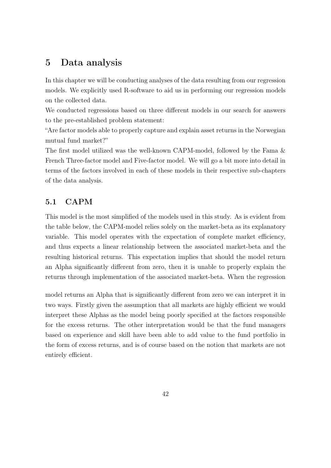## $\overline{5}$ Data analysis

In this chapter we will be conducting analyses of the data resulting from our regression models. We explicitly used R-software to aid us in performing our regression models on the collected data.

We conducted regressions based on three different models in our search for answers to the pre-established problem statement:

"Are factor models able to properly capture and explain asset returns in the Norwegian mutual fund market?"

The first model utilized was the well-known CAPM-model, followed by the Fama & French Three-factor model and Five-factor model. We will go a bit more into detail in terms of the factors involved in each of these models in their respective sub-chapters of the data analysis.

## $5.1$ **CAPM**

This model is the most simplified of the models used in this study. As is evident from the table below, the CAPM-model relies solely on the market-beta as its explanatory variable. This model operates with the expectation of complete market efficiency, and thus expects a linear relationship between the associated market-beta and the resulting historical returns. This expectation implies that should the model return an Alpha significantly different from zero, then it is unable to properly explain the returns through implementation of the associated market-beta. When the regression

model returns an Alpha that is significantly different from zero we can interpret it in two ways. Firstly given the assumption that all markets are highly efficient we would interpret these Alphas as the model being poorly specified at the factors responsible for the excess returns. The other interpretation would be that the fund managers based on experience and skill have been able to add value to the fund portfolio in the form of excess returns, and is of course based on the notion that markets are not entirely efficient.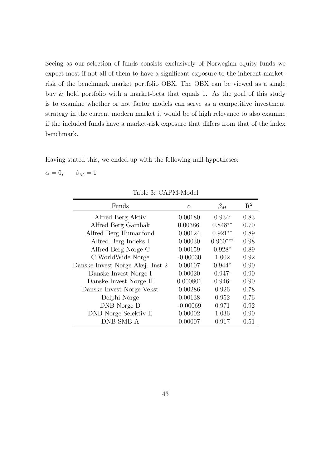Seeing as our selection of funds consists exclusively of Norwegian equity funds we expect most if not all of them to have a significant exposure to the inherent marketrisk of the benchmark market portfolio OBX. The OBX can be viewed as a single buy & hold portfolio with a market-beta that equals 1. As the goal of this study is to examine whether or not factor models can serve as a competitive investment strategy in the current modern market it would be of high relevance to also examine if the included funds have a market-risk exposure that differs from that of the index benchmark.

Having stated this, we ended up with the following null-hypotheses:

 $\alpha = 0$ ,  $\beta_M=1$ 

| Funds                            | $\alpha$   | $\beta_M$       | $R^2$ |
|----------------------------------|------------|-----------------|-------|
| Alfred Berg Aktiv                | 0.00180    | 0.934           | 0.83  |
| Alfred Berg Gambak               | 0.00386    | $0.848**$       | 0.70  |
| Alfred Berg Humanfond            | 0.00124    | $0.921**$       | 0.89  |
| Alfred Berg Indeks I             | 0.00030    | $0.960***$      | 0.98  |
| Alfred Berg Norge C              | 0.00159    | $0.928*$        | 0.89  |
| C WorldWide Norge                | $-0.00030$ | 1.002           | 0.92  |
| Danske Invest Norge Aksj. Inst 2 | 0.00107    | $0.944*$        | 0.90  |
| Danske Invest Norge I            | 0.00020    | 0.947           | 0.90  |
| Danske Invest Norge II           | 0.000801   | $0.946^{\circ}$ | 0.90  |
| Danske Invest Norge Vekst        | 0.00286    | 0.926           | 0.78  |
| Delphi Norge                     | 0.00138    | 0.952           | 0.76  |
|                                  | $-0.00069$ | 0.971           | 0.92  |
| DNB Norge Selektiv E             | 0.00002    | 1.036           | 0.90  |
| DNB SMB A                        | 0.00007    | 0.917           | 0.51  |
| DNB Norge D                      |            |                 |       |

Table 3: CAPM-Model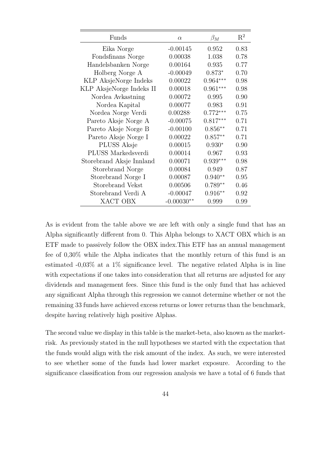| Funds                    | $\alpha$     | $\beta_M$  | $\mathrm{R}^2$ |
|--------------------------|--------------|------------|----------------|
| Eika Norge               | $-0.00145$   | 0.952      | 0.83           |
| Fondsfinans Norge        | 0.00038      | 1.038      | 0.78           |
| Handelsbanken Norge      | 0.00164      | 0.935      | 0.77           |
| Holberg Norge A          | $-0.00049$   | $0.873*$   | 0.70           |
| KLP AksjeNorge Indeks    | 0.00022      | $0.964***$ | 0.98           |
| KLP AksjeNorge Indeks II | 0.00018      | $0.961***$ | 0.98           |
| Nordea Avkastning        | 0.00072      | 0.995      | 0.90           |
| Nordea Kapital           | 0.00077      | 0.983      | 0.91           |
| Nordea Norge Verdi       | 0.00288      | $0.772***$ | 0.75           |
| Pareto Aksje Norge A     | $-0.00075$   | $0.817***$ | 0.71           |
| Pareto Aksje Norge B     | $-0.00100$   | $0.856**$  | 0.71           |
| Pareto Aksje Norge I     | 0.00022      | $0.857**$  | 0.71           |
| <b>PLUSS</b> Aksje       | 0.00015      | $0.930*$   | 0.90           |
| PLUSS Markedsverdi       | 0.00014      | 0.967      | 0.93           |
| Storebrand Aksje Innland | 0.00071      | $0.939***$ | 0.98           |
| Storebrand Norge         | 0.00084      | 0.949      | 0.87           |
| Storebrand Norge I       | 0.00087      | $0.940**$  | 0.95           |
| Storebrand Vekst         | 0.00506      | $0.789**$  | 0.46           |
| Storebrand Verdi A       | $-0.00047$   | $0.916**$  | 0.92           |
| XACT OBX                 | $-0.00030**$ | 0.999      | 0.99           |

As is evident from the table above we are left with only a single fund that has an Alpha significantly different from 0. This Alpha belongs to XACT OBX which is an ETF made to passively follow the OBX index. This ETF has an annual management fee of  $0.30\%$  while the Alpha indicates that the monthly return of this fund is an estimated  $-0.03\%$  at a 1% significance level. The negative related Alpha is in line with expectations if one takes into consideration that all returns are adjusted for any dividends and management fees. Since this fund is the only fund that has achieved any significant Alpha through this regression we cannot determine whether or not the remaining 33 funds have achieved excess returns or lower returns than the benchmark, despite having relatively high positive Alphas.

The second value we display in this table is the market-beta, also known as the marketrisk. As previously stated in the null hypotheses we started with the expectation that the funds would align with the risk amount of the index. As such, we were interested to see whether some of the funds had lower market exposure. According to the significance classification from our regression analysis we have a total of 6 funds that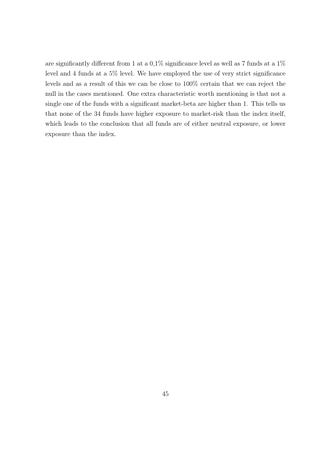are significantly different from 1 at a 0,1% significance level as well as 7 funds at a  $1\%$ level and 4 funds at a  $5\%$  level. We have employed the use of very strict significance levels and as a result of this we can be close to 100% certain that we can reject the null in the cases mentioned. One extra characteristic worth mentioning is that not a single one of the funds with a significant market-beta are higher than 1. This tells us that none of the 34 funds have higher exposure to market-risk than the index itself, which leads to the conclusion that all funds are of either neutral exposure, or lower exposure than the index.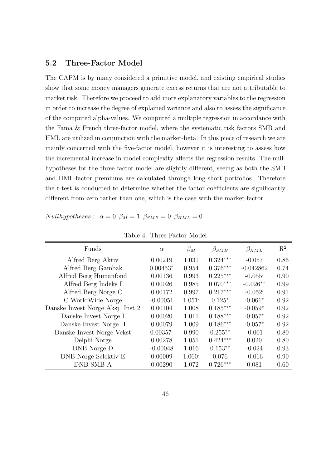## $5.2$ Three-Factor Model

The CAPM is by many considered a primitive model, and existing empirical studies show that some money managers generate excess returns that are not attributable to market risk. Therefore we proceed to add more explanatory variables to the regression in order to increase the degree of explained variance and also to assess the significance of the computed alpha-values. We computed a multiple regression in accordance with the Fama & French three-factor model, where the systematic risk factors SMB and HML are utilized in conjunction with the market-beta. In this piece of research we are mainly concerned with the five-factor model, however it is interesting to assess how the incremental increase in model complexity affects the regression results. The nullhypotheses for the three factor model are slightly different, seeing as both the SMB and HML-factor premiums are calculated through long-short portfolios. Therefore the t-test is conducted to determine whether the factor coefficients are significantly different from zero rather than one, which is the case with the market-factor.

| Table 4: Three Factor Model      |            |                    |               |               |                |  |
|----------------------------------|------------|--------------------|---------------|---------------|----------------|--|
| Funds                            | $\alpha$   | $\beta_M$          | $\beta_{SMB}$ | $\beta_{HML}$ | $\mathbf{R}^2$ |  |
| Alfred Berg Aktiv                | 0.00219    | 1.031              | $0.324***$    | $-0.057$      | 0.86           |  |
| Alfred Berg Gambak               | $0.00453*$ | 0.954              | $0.376***$    | $-0.042862$   | 0.74           |  |
| Alfred Berg Humanfond            | 0.00136    | 0.993              | $0.225***$    | $-0.055$      | 0.90           |  |
| Alfred Berg Indeks I             | 0.00026    | 0.985              | $0.070***$    | $-0.026**$    | 0.99           |  |
| Alfred Berg Norge C              | 0.00172    | 0.997              | $0.217***$    | $-0.052$      | 0.91           |  |
| C WorldWide Norge                | $-0.00051$ | 1.051              | $0.125*$      | $-0.061*$     | 0.92           |  |
| Danske Invest Norge Aksj. Inst 2 | 0.00104    | 1.008              | $0.185***$    | $-0.059*$     | 0.92           |  |
| Danske Invest Norge I            | 0.00020    | 1.011              | $0.188***$    | $-0.057*$     | 0.92           |  |
| Danske Invest Norge II           | 0.00079    | 1.009              | $0.186***$    | $-0.057*$     | 0.92           |  |
| Danske Invest Norge Vekst        | 0.00357    | 0.990              | $0.255**$     | $-0.001$      | 0.80           |  |
| Delphi Norge                     | 0.00278    | 1.051              | $0.424***$    | 0.020         | 0.80           |  |
| DNB Norge D                      | $-0.00048$ | 1.016              | $0.153**$     | $-0.024$      | 0.93           |  |
| DNB Norge Selektiv E             | 0.00009    | 1.060 <sup>°</sup> | 0.076         | $-0.016$      | 0.90           |  |
| DNB SMB A                        | 0.00290    | 1.072              | $0.726***$    | 0.081         | 0.60           |  |

Nullhypotheses:  $\alpha = 0$   $\beta_M = 1$   $\beta_{SMB} = 0$   $\beta_{HML} = 0$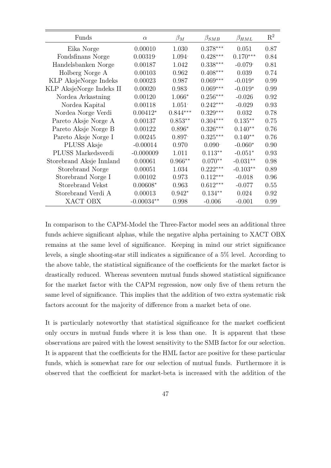| Funds                    | $\alpha$     | $\beta_M$  | $\beta_{SMB}$      | $\beta_{HML}$ | $\mathbf{R}^2$ |
|--------------------------|--------------|------------|--------------------|---------------|----------------|
| Eika Norge               | 0.00010      | 1.030      | $0.378***$         | 0.051         | 0.87           |
| Fondsfinans Norge        | 0.00319      | 1.094      | $0.428***$         | $0.170***$    | 0.84           |
| Handelsbanken Norge      | 0.00187      | 1.042      | $0.338***$         | $-0.079$      | 0.81           |
| Holberg Norge A          | 0.00103      | 0.962      | $0.408***$         | 0.039         | 0.74           |
| KLP AksjeNorge Indeks    | 0.00023      | 0.987      | $0.069***$         | $-0.019*$     | 0.99           |
| KLP AksjeNorge Indeks II | 0.00020      | 0.983      | $0.069***$         | $-0.019*$     | 0.99           |
| Nordea Avkastning        | 0.00120      | $1.066*$   | $0.256***$         | $-0.026$      | 0.92           |
| Nordea Kapital           | 0.00118      | 1.051      | $0.242***$         | $-0.029$      | 0.93           |
| Nordea Norge Verdi       | $0.00412*$   | $0.844***$ | $0.329***$         | 0.032         | 0.78           |
| Pareto Aksje Norge A     | 0.00137      | $0.853**$  | $0.304***$         | $0.135***$    | 0.75           |
| Pareto Aksje Norge B     | 0.00122      | $0.896*$   | $0.326***$         | $0.140**$     | 0.76           |
| Pareto Aksje Norge I     | 0.00245      | 0.897      | $0.325***$         | $0.140**$     | 0.76           |
| PLUSS Aksje              | $-0.00014$   | 0.970      | 0.090 <sup>·</sup> | $-0.060*$     | 0.90           |
| PLUSS Markedsverdi       | $-0.000009$  | 1.011      | $0.113**$          | $-0.051*$     | 0.93           |
| Storebrand Aksje Innland | 0.00061      | $0.966**$  | $0.070**$          | $-0.031**$    | 0.98           |
| Storebrand Norge         | 0.00051      | 1.034      | $0.222***$         | $-0.103**$    | 0.89           |
| Storebrand Norge I       | 0.00102      | 0.973      | $0.112***$         | $-0.018$      | 0.96           |
| Storebrand Vekst         | $0.00608*$   | 0.963      | $0.612***$         | $-0.077$      | 0.55           |
| Storebrand Verdi A       | 0.00013      | $0.942*$   | $0.134**$          | 0.024         | 0.92           |
| XACT OBX                 | $-0.00034**$ | 0.998      | $-0.006$           | $-0.001$      | 0.99           |

In comparison to the CAPM-Model the Three-Factor model sees an additional three funds achieve significant alphas, while the negative alpha pertaining to XACT OBX remains at the same level of significance. Keeping in mind our strict significance levels, a single shooting-star still indicates a significance of a  $5\%$  level. According to the above table, the statistical significance of the coefficients for the market factor is drastically reduced. Whereas seventeen mutual funds showed statistical significance for the market factor with the CAPM regression, now only five of them return the same level of significance. This implies that the addition of two extra systematic risk factors account for the majority of difference from a market beta of one.

It is particularly noteworthy that statistical significance for the market coefficient only occurs in mutual funds where it is less than one. It is apparent that these observations are paired with the lowest sensitivity to the SMB factor for our selection. It is apparent that the coefficients for the HML factor are positive for these particular funds, which is somewhat rare for our selection of mutual funds. Furthermore it is observed that the coefficient for market-beta is increased with the addition of the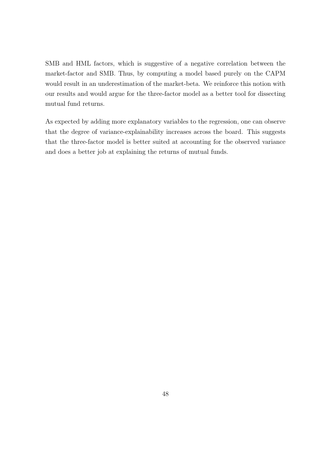SMB and HML factors, which is suggestive of a negative correlation between the market-factor and SMB. Thus, by computing a model based purely on the CAPM would result in an underestimation of the market-beta. We reinforce this notion with our results and would argue for the three-factor model as a better tool for dissecting mutual fund returns.

As expected by adding more explanatory variables to the regression, one can observe that the degree of variance-explainability increases across the board. This suggests that the three-factor model is better suited at accounting for the observed variance and does a better job at explaining the returns of mutual funds.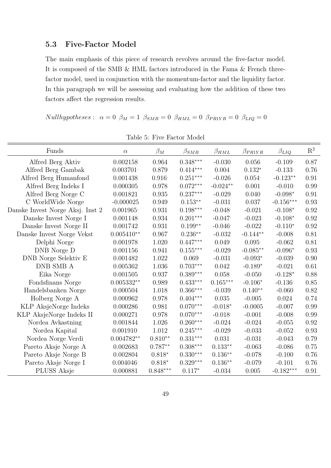## **Five-Factor Model** 5.3

The main emphasis of this piece of research revolves around the five-factor model. It is composed of the SMB  $\&$  HML factors introduced in the Fama  $\&$  French threefactor model, used in conjunction with the momentum-factor and the liquidity factor. In this paragraph we will be assessing and evaluating how the addition of these two factors affect the regression results.

Nullhypotheses:  $\alpha = 0$   $\beta_M = 1$   $\beta_{SMB} = 0$   $\beta_{HML} = 0$   $\beta_{PR1YR} = 0$   $\beta_{LIQ} = 0$ 

| Funds                            | $\alpha$              | $\beta_M$  | $\beta_{SMB}$          | $\beta_{HML}$          | $\beta_{PR1YR}$ | $\beta_{LIQ}$ | $\mathbf{R}^2$ |
|----------------------------------|-----------------------|------------|------------------------|------------------------|-----------------|---------------|----------------|
| Alfred Berg Aktiv                | 0.002158              | 0.964      | $0.348***$             | $-0.030$               | 0.056           | $-0.109$      | 0.87           |
| Alfred Berg Gambak               | 0.003701              | 0.879      | $0.414***$             | 0.004                  | $0.132*$        | $-0.133$      | 0.76           |
| Alfred Berg Humanfond            | 0.001438              | 0.916      | $0.251***$             | $-0.026$               | 0.054           | $-0.123**$    | 0.91           |
| Alfred Berg Indeks I             | 0.000305              | 0.978      | $0.072***$             | $-0.024**$             | 0.001           | $-0.010$      | 0.99           |
| Alfred Berg Norge C              | 0.001821              | 0.935      | $0.237***$             | $-0.029$               | 0.040           | $-0.098*$     | 0.91           |
| C WorldWide Norge                | $-0.000025$           | 0.949      | $0.153**$              | $-0.031$               | 0.037           | $-0.156***$   | 0.93           |
| Danske Invest Norge Aksj. Inst 2 | 0.001965              | 0.931      | $0.198^{\ast\ast\ast}$ | $-0.048$               | $-0.021$        | $-0.108*$     | 0.92           |
| Danske Invest Norge I            | 0.001148              | 0.934      | $0.201***$             | $-0.047$               | $-0.023$        | $-0.108*$     | 0.92           |
| Danske Invest Norge II           | 0.001742              | 0.931      | $0.199**$              | $-0.046$               | $-0.022$        | $-0.110*$     | 0.92           |
| Danske Invest Norge Vekst        | $0.005410**$          | 0.967      | $0.236**$              | $-0.032$               | $-0.144**$      | $-0.008$      | 0.81           |
| Delphi Norge                     | 0.001978              | 1.020      | $0.447***$             | 0.049                  | 0.095           | $-0.062$      | 0.81           |
| DNB Norge D                      | 0.001156              | 0.941      | $0.155***$             | $-0.029$               | $-0.085**$      | $-0.096*$     | 0.93           |
| DNB Norge Selektiv E             | 0.001482              | 1.022      | 0.069                  | $-0.031$               | $-0.093*$       | $-0.039$      | 0.90           |
| DNB SMB A                        | 0.005362              | 1.036      | $0.703***$             | 0.042                  | $-0.189*$       | $-0.021$      | 0.61           |
| Eika Norge                       | 0.001505              | 0.937      | $0.389^{\ast\ast\ast}$ | 0.058                  | $-0.050$        | $-0.128*$     | 0.88           |
| Fondsfinans Norge                | $0.005332^{\ast\ast}$ | 0.989      | $0.433^{***}\,$        | $0.165^{\ast\ast\ast}$ | $-0.106*$       | $-0.136$      | 0.85           |
| Handelsbanken Norge              | 0.000504              | 1.018      | $0.366***$             | $-0.039$               | $0.140**$       | $-0.060$      | 0.82           |
| Holberg Norge A                  | 0.000962              | 0.978      | $0.404^{***}\,$        | 0.035                  | $-0.005$        | 0.024         | 0.74           |
| KLP AksjeNorge Indeks            | 0.000286              | 0.981      | $0.070***$             | $-0.018*$              | $-0.0005$       | $-0.007$      | 0.99           |
| KLP AksjeNorge Indeks II         | 0.000271              | 0.978      | $0.070***$             | $-0.018$               | $-0.001$        | $-0.008$      | 0.99           |
| Nordea Avkastning                | 0.001844              | 1.026      | $0.260***$             | $-0.024$               | $-0.024$        | $-0.055$      | 0.92           |
| Nordea Kapital                   | 0.001910              | 1.012      | $0.245***$             | $-0.029$               | $-0.033$        | $-0.052$      | 0.93           |
| Nordea Norge Verdi               | $0.004782^{\ast\ast}$ | $0.810**$  | $0.331***$             | 0.031                  | $-0.031$        | $-0.043$      | 0.79           |
| Pareto Aksje Norge A             | 0.002683              | $0.787**$  | $0.308***$             | $0.133**$              | $-0.063$        | $-0.086$      | 0.75           |
| Pareto Aksje Norge B             | 0.002804              | $0.818*$   | $0.330***$             | $0.136^{\ast\ast}$     | $-0.078$        | $-0.100$      | 0.76           |
| Pareto Aksje Norge I             | 0.004046              | $0.818*$   | $0.329***$             | $0.136**$              | $-0.079$        | $-0.101$      | 0.76           |
| PLUSS Aksje                      | 0.000881              | $0.848***$ | $0.117*$               | $-0.034$               | 0.005           | $-0.182***$   | 0.91           |

Table 5: Five Factor Model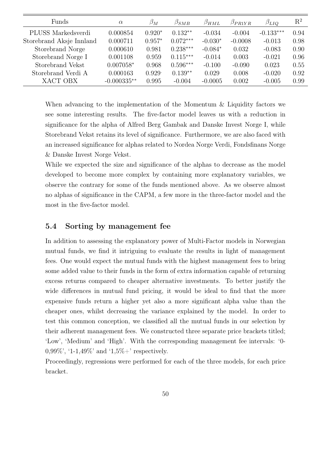| Funds                    | $\alpha$      | $\beta_M$ | $\beta_{SMB}$ | $\beta_{HML}$ | $\beta_{PR1YR}$ | $\beta_{LIQ}$ | $\mathrm{R}^2$ |
|--------------------------|---------------|-----------|---------------|---------------|-----------------|---------------|----------------|
| PLUSS Markedsverdi       | 0.000854      | $0.920*$  | $0.132**$     | $-0.034$      | $-0.004$        | $-0.133***$   | 0.94           |
| Storebrand Aksje Innland | 0.000711      | $0.957*$  | $0.072***$    | $-0.030*$     | $-0.0008$       | $-0.013$      | 0.98           |
| Storebrand Norge         | 0.000610      | 0.981     | $0.238***$    | $-0.084*$     | 0.032           | $-0.083$      | 0.90           |
| Storebrand Norge I       | 0.001108      | 0.959     | $0.115***$    | $-0.014$      | 0.003           | $-0.021$      | 0.96           |
| Storebrand Vekst         | $0.007058*$   | 0.968     | $0.596***$    | $-0.100$      | $-0.090$        | 0.023         | 0.55           |
| Storebrand Verdi A       | 0.000163      | $0.929 -$ | $0.139**$     | 0.029         | 0.008           | $-0.020$      | 0.92           |
| XACT OBX                 | $-0.000335**$ | 0.995     | $-0.004$      | $-0.0005$     | 0.002           | $-0.005$      | 0.99           |
|                          |               |           |               |               |                 |               |                |

When advancing to the implementation of the Momentum & Liquidity factors we see some interesting results. The five-factor model leaves us with a reduction in significance for the alpha of Alfred Berg Gambak and Danske Invest Norge I, while Storebrand Vekst retains its level of significance. Furthermore, we are also faced with an increased significance for alphas related to Nordea Norge Verdi, Fondsfinans Norge & Danske Invest Norge Vekst.

While we expected the size and significance of the alphas to decrease as the model developed to become more complex by containing more explanatory variables, we observe the contrary for some of the funds mentioned above. As we observe almost no alphas of significance in the CAPM, a few more in the three-factor model and the most in the five-factor model.

## $5.4$ Sorting by management fee

In addition to assessing the explanatory power of Multi-Factor models in Norwegian mutual funds, we find it intriguing to evaluate the results in light of management fees. One would expect the mutual funds with the highest management fees to bring some added value to their funds in the form of extra information capable of returning excess returns compared to cheaper alternative investments. To better justify the wide differences in mutual fund pricing, it would be ideal to find that the more expensive funds return a higher yet also a more significant alpha value than the cheaper ones, whilst decreasing the variance explained by the model. In order to test this common conception, we classified all the mutual funds in our selection by their adherent management fees. We constructed three separate price brackets titled; 'Low', 'Medium' and 'High'. With the corresponding management fee intervals: '0-0,99%', '1-1,49%' and '1,5%+' respectively.

Proceedingly, regressions were performed for each of the three models, for each price bracket.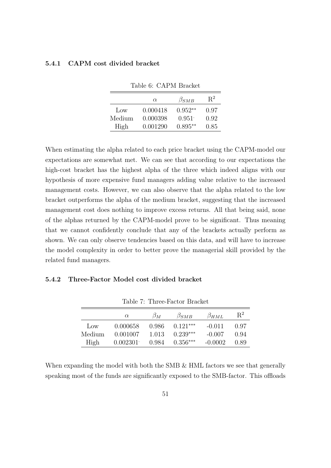### **CAPM** cost divided bracket 5.4.1

|                 | $\alpha$ | $\beta_{SMB}$ | $R^2$ |
|-----------------|----------|---------------|-------|
| $_{\text{low}}$ | 0.000418 | $0.952**$     | 0.97  |
| Medium          | 0.000398 | 0.951         | 0.92  |
| High            | 0.001290 | $0.895**$     | 0.85  |

Table 6: CAPM Bracket

When estimating the alpha related to each price bracket using the CAPM-model our expectations are somewhat met. We can see that according to our expectations the high-cost bracket has the highest alpha of the three which indeed aligns with our hypothesis of more expensive fund managers adding value relative to the increased management costs. However, we can also observe that the alpha related to the low bracket outperforms the alpha of the medium bracket, suggesting that the increased management cost does nothing to improve excess returns. All that being said, none of the alphas returned by the CAPM-model prove to be significant. Thus meaning that we cannot confidently conclude that any of the brackets actually perform as shown. We can only observe tendencies based on this data, and will have to increase the model complexity in order to better prove the managerial skill provided by the related fund managers.

## Three-Factor Model cost divided bracket 5.4.2

|                 | $\alpha$ | $\beta_M$ | $\beta_{SMB}$ | $\beta_{HML}$ | $R^2$ |
|-----------------|----------|-----------|---------------|---------------|-------|
| $_{\text{low}}$ | 0.000658 | 0.986     | $0.121***$    | $-0.011$      | 0.97  |
| Medium          | 0.001007 | 1.013     | $0.239***$    | $-0.007$      | 0.94  |
| High            | 0.002301 | 0.984     | $0.356***$    | $-0.0002$     | 0.89  |

Table 7: Three-Factor Bracket

When expanding the model with both the SMB  $&$  HML factors we see that generally speaking most of the funds are significantly exposed to the SMB-factor. This offloads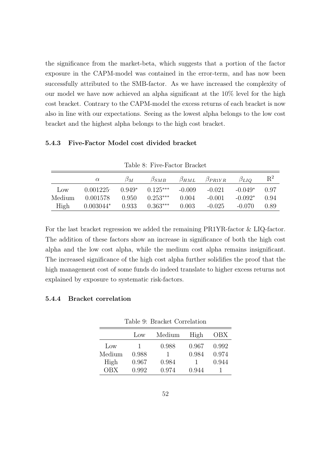the significance from the market-beta, which suggests that a portion of the factor exposure in the CAPM-model was contained in the error-term, and has now been successfully attributed to the SMB-factor. As we have increased the complexity of our model we have now achieved an alpha significant at the 10% level for the high cost bracket. Contrary to the CAPM-model the excess returns of each bracket is now also in line with our expectations. Seeing as the lowest alpha belongs to the low cost bracket and the highest alpha belongs to the high cost bracket.

## Five-Factor Model cost divided bracket 5.4.3

|                 | $\alpha$    | $\beta_M$ | $\beta_{SMB}$ | $\beta_{HML}$ | $\beta_{PR1YR}$ | $\beta_{LIO}$ | $\rm R^2$ |
|-----------------|-------------|-----------|---------------|---------------|-----------------|---------------|-----------|
| $_{\text{LOW}}$ | 0.001225    | $0.949*$  | $0.125***$    | $-0.009$      | $-0.021$        | $-0.049*$     | O 97      |
| Medium          | 0.001578    | 0.950     | $0.253***$    | 0.004         | $-0.001$        | $-0.092*$     | 0.94      |
| High            | $0.003044*$ | 0.933     | $0.363***$    | 0.003         | $-0.025$        | $-0.070$      | 0.89      |

Table 8: Five-Factor Bracket

For the last bracket regression we added the remaining PR1YR-factor & LIQ-factor. The addition of these factors show an increase in significance of both the high cost alpha and the low cost alpha, while the medium cost alpha remains insignificant. The increased significance of the high cost alpha further solidifies the proof that the high management cost of some funds do indeed translate to higher excess returns not explained by exposure to systematic risk-factors.

## **Bracket correlation** 5.4.4

|            | $_{\text{Low}}$ | Medium | High  | OBX   |
|------------|-----------------|--------|-------|-------|
| Low        | ı               | 0.988  | 0.967 | 0.992 |
| Medium     | 0.988           |        | 0.984 | 0.974 |
| High       | 0.967           | 0.984  |       | 0.944 |
| <b>OBX</b> | 0.992           | 0.974  | 0.944 |       |

Table 9: Bracket Correlation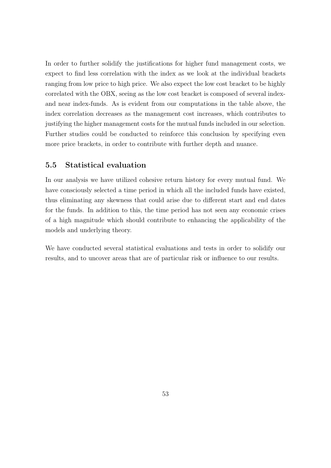In order to further solidify the justifications for higher fund management costs, we expect to find less correlation with the index as we look at the individual brackets ranging from low price to high price. We also expect the low cost bracket to be highly correlated with the OBX, seeing as the low cost bracket is composed of several indexand near index-funds. As is evident from our computations in the table above, the index correlation decreases as the management cost increases, which contributes to justifying the higher management costs for the mutual funds included in our selection. Further studies could be conducted to reinforce this conclusion by specifying even more price brackets, in order to contribute with further depth and nuance.

## $5.5$ Statistical evaluation

In our analysis we have utilized cohesive return history for every mutual fund. We have consciously selected a time period in which all the included funds have existed, thus eliminating any skewness that could arise due to different start and end dates for the funds. In addition to this, the time period has not seen any economic crises of a high magnitude which should contribute to enhancing the applicability of the models and underlying theory.

We have conducted several statistical evaluations and tests in order to solidify our results, and to uncover areas that are of particular risk or influence to our results.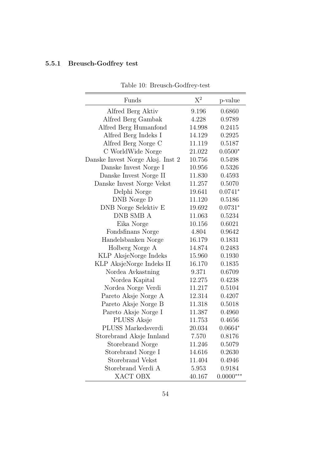# 5.5.1 Breusch-Godfrey test

| Funds                            | $X^2$  | p-value     |
|----------------------------------|--------|-------------|
| Alfred Berg Aktiv                | 9.196  | 0.6860      |
| Alfred Berg Gambak               | 4.228  | 0.9789      |
| Alfred Berg Humanfond            | 14.998 | 0.2415      |
| Alfred Berg Indeks I             | 14.129 | 0.2925      |
| Alfred Berg Norge C              | 11.119 | 0.5187      |
| C WorldWide Norge                | 21.022 | $0.0500*$   |
| Danske Invest Norge Aksj. Inst 2 | 10.756 | 0.5498      |
| Danske Invest Norge I            | 10.956 | 0.5326      |
| Danske Invest Norge II           | 11.830 | 0.4593      |
| Danske Invest Norge Vekst        | 11.257 | 0.5070      |
| Delphi Norge                     | 19.641 | $0.0741*$   |
| DNB Norge D                      | 11.120 | 0.5186      |
| DNB Norge Selektiv E             | 19.692 | $0.0731*$   |
| <b>DNB SMB A</b>                 | 11.063 | 0.5234      |
| Eika Norge                       | 10.156 | 0.6021      |
| Fondsfinans Norge                | 4.804  | 0.9642      |
| Handelsbanken Norge              | 16.179 | 0.1831      |
| Holberg Norge A                  | 14.874 | 0.2483      |
| KLP AksjeNorge Indeks            | 15.960 | 0.1930      |
| KLP AksjeNorge Indeks II         | 16.170 | 0.1835      |
| Nordea Avkastning                | 9.371  | 0.6709      |
| Nordea Kapital                   | 12.275 | 0.4238      |
| Nordea Norge Verdi               | 11.217 | 0.5104      |
| Pareto Aksje Norge A             | 12.314 | 0.4207      |
| Pareto Aksje Norge B             | 11.318 | 0.5018      |
| Pareto Aksje Norge I             | 11.387 | 0.4960      |
| PLUSS Aksje                      | 11.753 | 0.4656      |
| PLUSS Markedsverdi               | 20.034 | $0.0664*$   |
| Storebrand Aksje Innland         | 7.570  | 0.8176      |
| Storebrand Norge                 | 11.246 | 0.5079      |
| Storebrand Norge I               | 14.616 | 0.2630      |
| <b>Storebrand Vekst</b>          | 11.404 | 0.4946      |
| Storebrand Verdi A               | 5.953  | 0.9184      |
| XACT OBX                         | 40.167 | $0.0000***$ |

Table 10: Breusch-Godfrey-test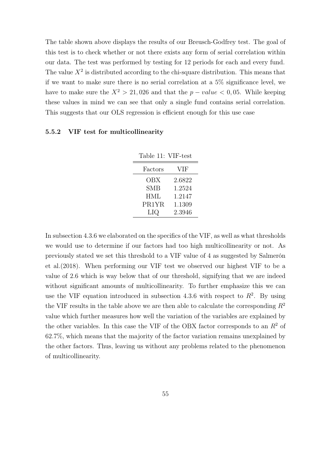The table shown above displays the results of our Breusch-Godfrey test. The goal of this test is to check whether or not there exists any form of serial correlation within our data. The test was performed by testing for 12 periods for each and every fund. The value  $X^2$  is distributed according to the chi-square distribution. This means that if we want to make sure there is no serial correlation at a  $5\%$  significance level, we have to make sure the  $X^2 > 21,026$  and that the  $p-value < 0,05$ . While keeping these values in mind we can see that only a single fund contains serial correlation. This suggests that our OLS regression is efficient enough for this use case

#### VIF test for multicollinearity  $5.5.2$

| Table 11: VIF-test |        |
|--------------------|--------|
| Factors            | VIF    |
| OBX                | 2.6822 |
| SMB                | 1.2524 |
| <b>HML</b>         | 1.2147 |
| PR1YR              | 1.1309 |
| LIQ                | 2.3946 |

In subsection 4.3.6 we elaborated on the specifics of the VIF, as well as what thresholds we would use to determine if our factors had too high multicollinearity or not. As previously stated we set this threshold to a VIF value of 4 as suggested by Salmerón et al.  $(2018)$ . When performing our VIF test we observed our highest VIF to be a value of 2.6 which is way below that of our threshold, signifying that we are indeed without significant amounts of multicollinearity. To further emphasize this we can use the VIF equation introduced in subsection 4.3.6 with respect to  $R^2$ . By using the VIF results in the table above we are then able to calculate the corresponding  $R^2$ value which further measures how well the variation of the variables are explained by the other variables. In this case the VIF of the OBX factor corresponds to an  $R^2$  of  $62.7\%$ , which means that the majority of the factor variation remains unexplained by the other factors. Thus, leaving us without any problems related to the phenomenon of multicollinearity.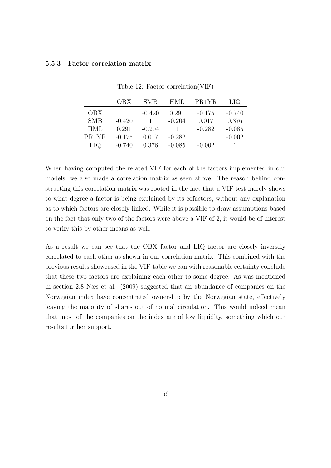## Factor correlation matrix 5.5.3

|            | OBX      | <b>SMB</b> | HML      | PR1YR    | LIQ      |
|------------|----------|------------|----------|----------|----------|
| <b>OBX</b> |          | $-0.420$   | 0.291    | $-0.175$ | $-0.740$ |
| <b>SMB</b> | $-0.420$ |            | $-0.204$ | 0.017    | 0.376    |
| <b>HML</b> | 0.291    | $-0.204$   |          | $-0.282$ | $-0.085$ |
| PR1YR      | $-0.175$ | 0.017      | $-0.282$ |          | $-0.002$ |
| LIQ.       | $-0.740$ | 0.376      | $-0.085$ | $-0.002$ |          |

Table 12: Factor correlation (VIF)

When having computed the related VIF for each of the factors implemented in our models, we also made a correlation matrix as seen above. The reason behind constructing this correlation matrix was rooted in the fact that a VIF test merely shows to what degree a factor is being explained by its cofactors, without any explanation as to which factors are closely linked. While it is possible to draw assumptions based on the fact that only two of the factors were above a VIF of 2, it would be of interest to verify this by other means as well.

As a result we can see that the OBX factor and LIQ factor are closely inversely correlated to each other as shown in our correlation matrix. This combined with the previous results showcased in the VIF-table we can with reasonable certainty conclude that these two factors are explaining each other to some degree. As was mentioned in section 2.8 Ness et al. (2009) suggested that an abundance of companies on the Norwegian index have concentrated ownership by the Norwegian state, effectively leaving the majority of shares out of normal circulation. This would indeed mean that most of the companies on the index are of low liquidity, something which our results further support.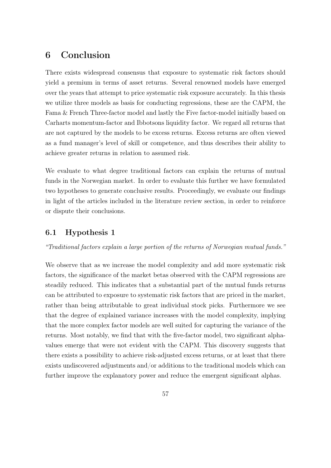## Conclusion 6

There exists widespread consensus that exposure to systematic risk factors should yield a premium in terms of asset returns. Several renowned models have emerged over the years that attempt to price systematic risk exposure accurately. In this thesis we utilize three models as basis for conducting regressions, these are the CAPM, the Fama & French Three-factor model and lastly the Five factor-model initially based on Carbarts momentum-factor and Ibbotsons liquidity factor. We regard all returns that are not captured by the models to be excess returns. Excess returns are often viewed as a fund manager's level of skill or competence, and thus describes their ability to achieve greater returns in relation to assumed risk.

We evaluate to what degree traditional factors can explain the returns of mutual funds in the Norwegian market. In order to evaluate this further we have formulated two hypotheses to generate conclusive results. Proceedingly, we evaluate our findings in light of the articles included in the literature review section, in order to reinforce or dispute their conclusions.

## Hypothesis 1  $6.1$

## "Traditional factors explain a large portion of the returns of Norwegian mutual funds."

We observe that as we increase the model complexity and add more systematic risk factors, the significance of the market betas observed with the CAPM regressions are steadily reduced. This indicates that a substantial part of the mutual funds returns can be attributed to exposure to systematic risk factors that are priced in the market, rather than being attributable to great individual stock picks. Furthermore we see that the degree of explained variance increases with the model complexity, implying that the more complex factor models are well suited for capturing the variance of the returns. Most notably, we find that with the five-factor model, two significant alphavalues emerge that were not evident with the CAPM. This discovery suggests that there exists a possibility to achieve risk-adjusted excess returns, or at least that there exists undiscovered adjustments and/or additions to the traditional models which can further improve the explanatory power and reduce the emergent significant alphas.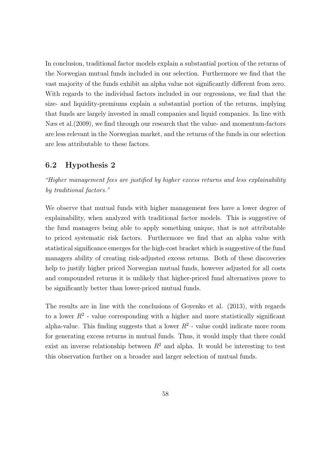In conclusion, traditional factor models explain a substantial portion of the returns of the Norwegian mutual funds included in our selection. Furthermore we find that the vast majority of the funds exhibit an alpha value not significantly different from zero. With regards to the individual factors included in our regressions, we find that the size- and liquidity-premiums explain a substantial portion of the returns, implying that funds are largely invested in small companies and liquid companies. In line with Næs et al. (2009), we find through our research that the value- and momentum-factors are less relevant in the Norwegian market, and the returns of the funds in our selection are less attributable to these factors.

## 6.2 Hypothesis 2

"Higher management fees are justified by higher excess returns and less explainability by traditional factors."

We observe that mutual funds with higher management fees have a lower degree of explainability, when analyzed with traditional factor models. This is suggestive of the fund managers being able to apply something unique, that is not attributable to priced systematic risk factors. Furthermore we find that an alpha value with statistical significance emerges for the high-cost bracket which is suggestive of the fund managers ability of creating risk-adjusted excess returns. Both of these discoveries help to justify higher priced Norwegian mutual funds, however adjusted for all costs and compounded returns it is unlikely that higher-priced fund alternatives prove to be significantly better than lower-priced mutual funds.

The results are in line with the conclusions of Goyenko et al. (2013), with regards to a lower  $R^2$  - value corresponding with a higher and more statistically significant alpha-value. This finding suggests that a lower  $R^2$  - value could indicate more room for generating excess returns in mutual funds. Thus, it would imply that there could exist an inverse relationship between  $R^2$  and alpha. It would be interesting to test this observation further on a broader and larger selection of mutual funds.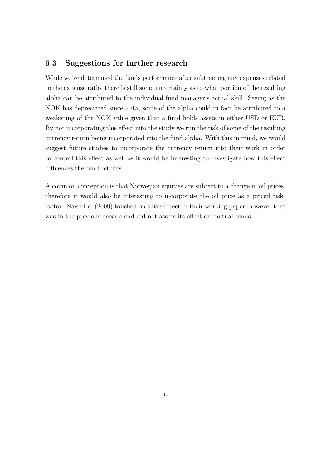## 6.3 Suggestions for further research

While we've determined the funds performance after subtracting any expenses related to the expense ratio, there is still some uncertainty as to what portion of the resulting alpha can be attributed to the individual fund manager's actual skill. Seeing as the NOK has depreciated since 2015, some of the alpha could in fact be attributed to a weakening of the NOK value given that a fund holds assets in either USD or EUR. By not incorporating this effect into the study we run the risk of some of the resulting currency return being incorporated into the fund alpha. With this in mind, we would suggest future studies to incorporate the currency return into their work in order to control this effect as well as it would be interesting to investigate how this effect influences the fund returns.

A common conception is that Norwegian equities are subject to a change in oil prices, therefore it would also be interesting to incorporate the oil price as a priced riskfactor. Næs et al. (2009) touched on this subject in their working paper, however that was in the previous decade and did not assess its effect on mutual funds.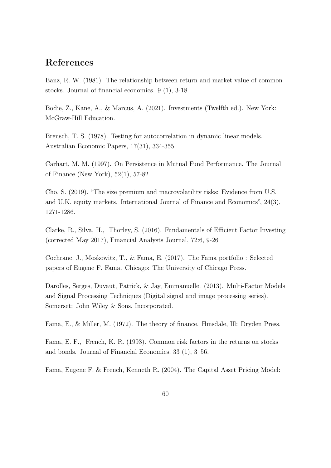# References

Banz, R. W. (1981). The relationship between return and market value of common stocks. Journal of financial economics.  $9(1)$ , 3-18.

Bodie, Z., Kane, A., & Marcus, A. (2021). Investments (Twelfth ed.). New York: McGraw-Hill Education.

Breusch, T. S. (1978). Testing for autocorrelation in dynamic linear models. Australian Economic Papers, 17(31), 334-355.

Carhart, M. M. (1997). On Persistence in Mutual Fund Performance. The Journal of Finance (New York),  $52(1)$ , 57-82.

Cho, S. (2019). "The size premium and macrovolatility risks: Evidence from U.S. and U.K. equity markets. International Journal of Finance and Economics",  $24(3)$ , 1271-1286.

Clarke, R., Silva, H., Thorley, S. (2016). Fundamentals of Efficient Factor Investing (corrected May 2017), Financial Analysts Journal, 72:6, 9-26

Cochrane, J., Moskowitz, T., & Fama, E. (2017). The Fama portfolio: Selected papers of Eugene F. Fama. Chicago: The University of Chicago Press.

Darolles, Serges, Duvaut, Patrick, & Jay, Emmanuelle. (2013). Multi-Factor Models and Signal Processing Techniques (Digital signal and image processing series). Somerset: John Wiley & Sons, Incorporated.

Fama, E., & Miller, M. (1972). The theory of finance. Hinsdale, Ill: Dryden Press.

Fama, E. F., French, K. R. (1993). Common risk factors in the returns on stocks and bonds. Journal of Financial Economics,  $33(1)$ ,  $3-56$ .

Fama, Eugene F, & French, Kenneth R. (2004). The Capital Asset Pricing Model: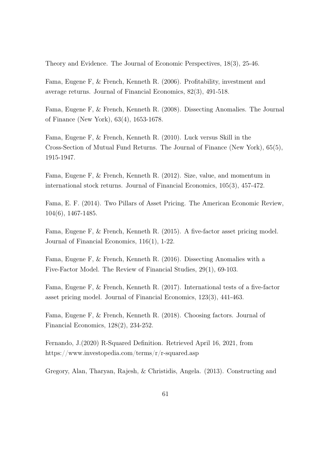Theory and Evidence. The Journal of Economic Perspectives, 18(3), 25-46.

Fama, Eugene F, & French, Kenneth R. (2006). Profitability, investment and average returns. Journal of Financial Economics,  $82(3)$ ,  $491-518$ .

Fama, Eugene F, & French, Kenneth R. (2008). Dissecting Anomalies. The Journal of Finance (New York), 63(4), 1653-1678.

Fama, Eugene F, & French, Kenneth R. (2010). Luck versus Skill in the Cross-Section of Mutual Fund Returns. The Journal of Finance (New York), 65(5), 1915-1947.

Fama, Eugene F, & French, Kenneth R. (2012). Size, value, and momentum in international stock returns. Journal of Financial Economics, 105(3), 457-472.

Fama, E. F. (2014). Two Pillars of Asset Pricing. The American Economic Review,  $104(6)$ , 1467-1485.

Fama, Eugene F, & French, Kenneth R. (2015). A five-factor asset pricing model. Journal of Financial Economics,  $116(1)$ , 1-22.

Fama, Eugene F, & French, Kenneth R. (2016). Dissecting Anomalies with a Five-Factor Model. The Review of Financial Studies, 29(1), 69-103.

Fama, Eugene F, & French, Kenneth R.  $(2017)$ . International tests of a five-factor asset pricing model. Journal of Financial Economics, 123(3), 441-463.

Fama, Eugene F, & French, Kenneth R. (2018). Choosing factors. Journal of Financial Economics,  $128(2)$ ,  $234-252$ .

Fernando, J. (2020) R-Squared Definition. Retrieved April 16, 2021, from https://www.investopedia.com/terms/r/r-squared.asp

Gregory, Alan, Tharyan, Rajesh, & Christidis, Angela. (2013). Constructing and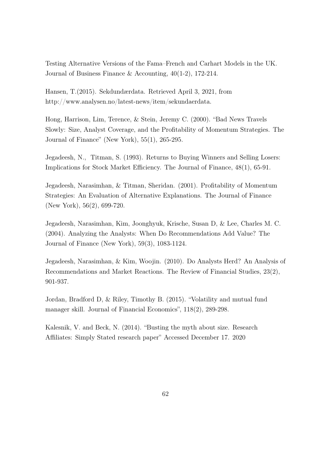Testing Alternative Versions of the Fama–French and Carhart Models in the UK. Journal of Business Finance & Accounting,  $40(1-2)$ , 172-214.

Hansen, T. (2015). Sekdundærdata. Retrieved April 3, 2021, from http://www.analysen.no/latest-news/item/sekundaerdata.

Hong, Harrison, Lim, Terence, & Stein, Jeremy C. (2000). "Bad News Travels Slowly: Size, Analyst Coverage, and the Profitability of Momentum Strategies. The Journal of Finance" (New York),  $55(1)$ ,  $265-295$ .

Jegadeesh, N., Titman, S. (1993). Returns to Buying Winners and Selling Losers: Implications for Stock Market Efficiency. The Journal of Finance, 48(1), 65-91.

Jegadeesh, Narasimhan, & Titman, Sheridan. (2001). Profitability of Momentum Strategies: An Evaluation of Alternative Explanations. The Journal of Finance (New York),  $56(2)$ , 699-720.

Jegadeesh, Narasimhan, Kim, Joonghyuk, Krische, Susan D, & Lee, Charles M. C. (2004). Analyzing the Analysts: When Do Recommendations Add Value? The Journal of Finance (New York), 59(3), 1083-1124.

Jegadeesh, Narasimhan, & Kim, Woojin. (2010). Do Analysts Herd? An Analysis of Recommendations and Market Reactions. The Review of Financial Studies, 23(2), 901-937.

Jordan, Bradford D, & Riley, Timothy B. (2015). "Volatility and mutual fund manager skill. Journal of Financial Economics", 118(2), 289-298.

Kalesnik, V. and Beck, N. (2014). "Busting the myth about size. Research Affiliates: Simply Stated research paper" Accessed December 17. 2020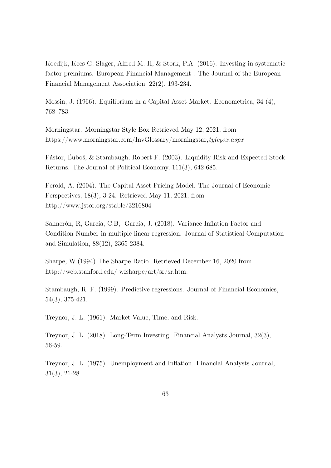Koedijk, Kees G, Slager, Alfred M. H, & Stork, P.A. (2016). Investing in systematic factor premiums. European Financial Management : The Journal of the European Financial Management Association, 22(2), 193-234.

Mossin, J. (1966). Equilibrium in a Capital Asset Market. Econometrica, 34 (4). 768-783.

Morningstar. Morningstar Style Box Retrieved May 12, 2021, from https://www.morningstar.com/InvGlossary/morningstar<sub>s</sub>tyle<sub>b</sub>ox.aspx

Pástor, Ľuboš, & Stambaugh, Robert F. (2003). Liquidity Risk and Expected Stock Returns. The Journal of Political Economy, 111(3), 642-685.

Perold, A. (2004). The Capital Asset Pricing Model. The Journal of Economic Perspectives,  $18(3)$ , 3-24. Retrieved May 11, 2021, from http://www.jstor.org/stable/3216804

Salmerón, R. García, C.B. García, J. (2018). Variance Inflation Factor and Condition Number in multiple linear regression. Journal of Statistical Computation and Simulation, 88(12), 2365-2384.

Sharpe, W.(1994) The Sharpe Ratio. Retrieved December 16, 2020 from http://web.stanford.edu/ wfsharpe/art/sr/sr.htm.

Stambaugh, R. F. (1999). Predictive regressions. Journal of Financial Economics,  $54(3), 375-421.$ 

Treynor, J. L. (1961). Market Value, Time, and Risk.

Treynor, J. L. (2018). Long-Term Investing. Financial Analysts Journal, 32(3), 56-59.

Trevnor, J. L. (1975). Unemployment and Inflation. Financial Analysts Journal.  $31(3), 21-28.$